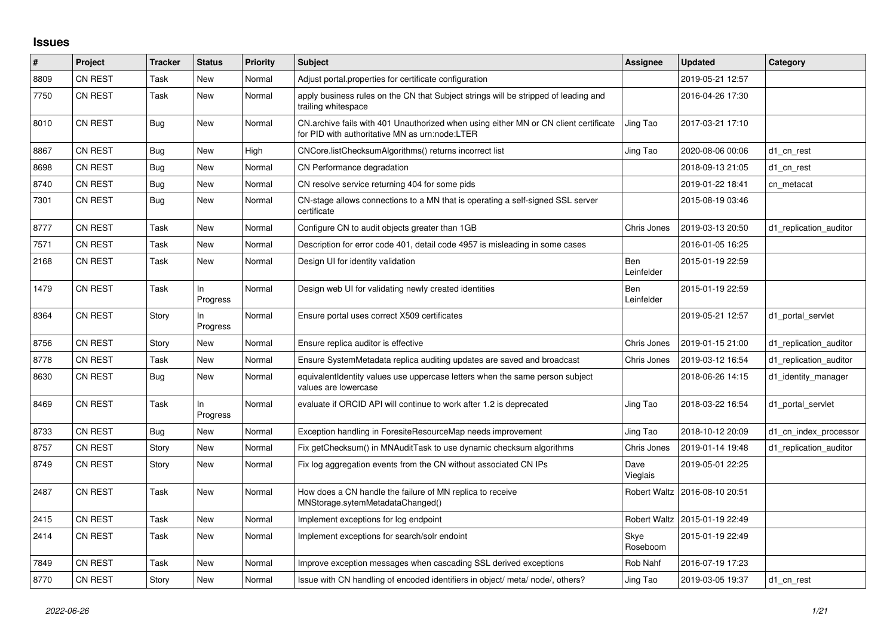## **Issues**

| ∣#   | Project        | <b>Tracker</b> | <b>Status</b>   | <b>Priority</b> | <b>Subject</b>                                                                                                                         | Assignee                 | <b>Updated</b>                  | Category               |
|------|----------------|----------------|-----------------|-----------------|----------------------------------------------------------------------------------------------------------------------------------------|--------------------------|---------------------------------|------------------------|
| 8809 | <b>CN REST</b> | Task           | New             | Normal          | Adjust portal properties for certificate configuration                                                                                 |                          | 2019-05-21 12:57                |                        |
| 7750 | <b>CN REST</b> | Task           | New             | Normal          | apply business rules on the CN that Subject strings will be stripped of leading and<br>trailing whitespace                             |                          | 2016-04-26 17:30                |                        |
| 8010 | <b>CN REST</b> | Bug            | New             | Normal          | CN.archive fails with 401 Unauthorized when using either MN or CN client certificate<br>for PID with authoritative MN as urn:node:LTER | Jing Tao                 | 2017-03-21 17:10                |                        |
| 8867 | <b>CN REST</b> | Bug            | <b>New</b>      | High            | CNCore.listChecksumAlgorithms() returns incorrect list                                                                                 | Jing Tao                 | 2020-08-06 00:06                | d1 cn rest             |
| 8698 | <b>CN REST</b> | Bug            | <b>New</b>      | Normal          | CN Performance degradation                                                                                                             |                          | 2018-09-13 21:05                | d1_cn_rest             |
| 8740 | <b>CN REST</b> | Bug            | New             | Normal          | CN resolve service returning 404 for some pids                                                                                         |                          | 2019-01-22 18:41                | cn metacat             |
| 7301 | <b>CN REST</b> | Bug            | New             | Normal          | CN-stage allows connections to a MN that is operating a self-signed SSL server<br>certificate                                          |                          | 2015-08-19 03:46                |                        |
| 8777 | <b>CN REST</b> | Task           | New             | Normal          | Configure CN to audit objects greater than 1GB                                                                                         | Chris Jones              | 2019-03-13 20:50                | d1 replication auditor |
| 7571 | <b>CN REST</b> | Task           | <b>New</b>      | Normal          | Description for error code 401, detail code 4957 is misleading in some cases                                                           |                          | 2016-01-05 16:25                |                        |
| 2168 | <b>CN REST</b> | Task           | <b>New</b>      | Normal          | Design UI for identity validation                                                                                                      | Ben<br>Leinfelder        | 2015-01-19 22:59                |                        |
| 1479 | <b>CN REST</b> | Task           | In.<br>Progress | Normal          | Design web UI for validating newly created identities                                                                                  | <b>Ben</b><br>Leinfelder | 2015-01-19 22:59                |                        |
| 8364 | <b>CN REST</b> | Story          | In<br>Progress  | Normal          | Ensure portal uses correct X509 certificates                                                                                           |                          | 2019-05-21 12:57                | d1 portal servlet      |
| 8756 | CN REST        | Story          | <b>New</b>      | Normal          | Ensure replica auditor is effective                                                                                                    | Chris Jones              | 2019-01-15 21:00                | d1 replication auditor |
| 8778 | <b>CN REST</b> | Task           | New             | Normal          | Ensure SystemMetadata replica auditing updates are saved and broadcast                                                                 | Chris Jones              | 2019-03-12 16:54                | d1 replication auditor |
| 8630 | <b>CN REST</b> | Bug            | <b>New</b>      | Normal          | equivalentIdentity values use uppercase letters when the same person subject<br>values are lowercase                                   |                          | 2018-06-26 14:15                | d1_identity_manager    |
| 8469 | <b>CN REST</b> | Task           | ln<br>Progress  | Normal          | evaluate if ORCID API will continue to work after 1.2 is deprecated                                                                    | Jing Tao                 | 2018-03-22 16:54                | d1 portal servlet      |
| 8733 | <b>CN REST</b> | Bug            | New             | Normal          | Exception handling in ForesiteResourceMap needs improvement                                                                            | Jing Tao                 | 2018-10-12 20:09                | d1 cn index processor  |
| 8757 | CN REST        | Story          | New             | Normal          | Fix getChecksum() in MNAuditTask to use dynamic checksum algorithms                                                                    | Chris Jones              | 2019-01-14 19:48                | d1_replication_auditor |
| 8749 | <b>CN REST</b> | Story          | New             | Normal          | Fix log aggregation events from the CN without associated CN IPs                                                                       | Dave<br>Vieglais         | 2019-05-01 22:25                |                        |
| 2487 | CN REST        | Task           | <b>New</b>      | Normal          | How does a CN handle the failure of MN replica to receive<br>MNStorage.sytemMetadataChanged()                                          | <b>Robert Waltz</b>      | 2016-08-10 20:51                |                        |
| 2415 | <b>CN REST</b> | Task           | New             | Normal          | Implement exceptions for log endpoint                                                                                                  |                          | Robert Waltz   2015-01-19 22:49 |                        |
| 2414 | <b>CN REST</b> | Task           | <b>New</b>      | Normal          | Implement exceptions for search/solr endoint                                                                                           | Skye<br>Roseboom         | 2015-01-19 22:49                |                        |
| 7849 | <b>CN REST</b> | Task           | New             | Normal          | Improve exception messages when cascading SSL derived exceptions                                                                       | <b>Rob Nahf</b>          | 2016-07-19 17:23                |                        |
| 8770 | <b>CN REST</b> | Story          | New             | Normal          | Issue with CN handling of encoded identifiers in object/meta/node/, others?                                                            | Jing Tao                 | 2019-03-05 19:37                | d1 cn rest             |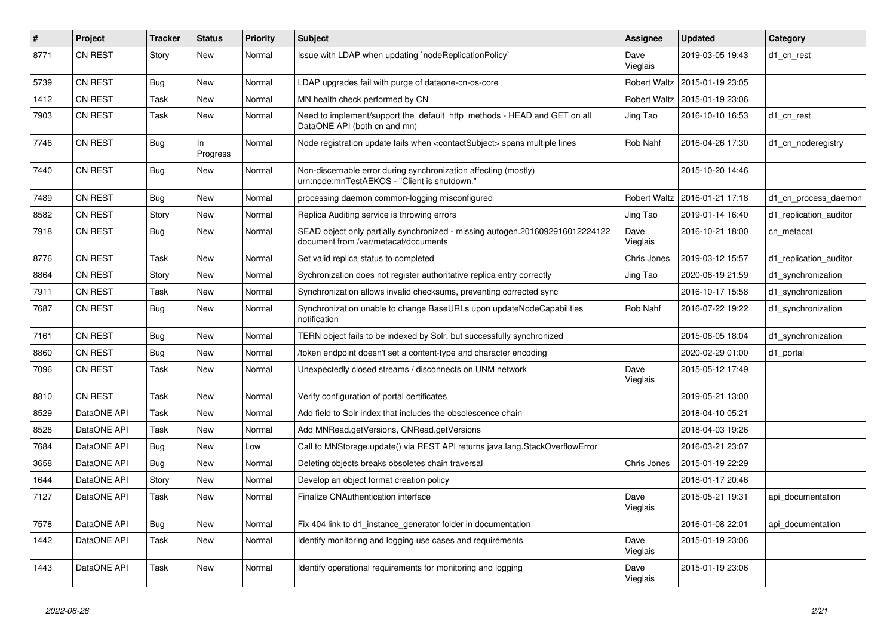| #    | Project        | <b>Tracker</b> | <b>Status</b>   | <b>Priority</b> | <b>Subject</b>                                                                                                        | <b>Assignee</b>     | <b>Updated</b>   | Category               |
|------|----------------|----------------|-----------------|-----------------|-----------------------------------------------------------------------------------------------------------------------|---------------------|------------------|------------------------|
| 8771 | CN REST        | Story          | New             | Normal          | Issue with LDAP when updating `nodeReplicationPolicy`                                                                 | Dave<br>Vieglais    | 2019-03-05 19:43 | d1 cn rest             |
| 5739 | CN REST        | Bug            | New             | Normal          | LDAP upgrades fail with purge of dataone-cn-os-core                                                                   | Robert Waltz        | 2015-01-19 23:05 |                        |
| 1412 | <b>CN REST</b> | Task           | New             | Normal          | MN health check performed by CN                                                                                       | Robert Waltz        | 2015-01-19 23:06 |                        |
| 7903 | <b>CN REST</b> | Task           | New             | Normal          | Need to implement/support the default http methods - HEAD and GET on all<br>DataONE API (both cn and mn)              | Jing Tao            | 2016-10-10 16:53 | d1 cn rest             |
| 7746 | CN REST        | Bug            | In.<br>Progress | Normal          | Node registration update fails when <contactsubject> spans multiple lines</contactsubject>                            | Rob Nahf            | 2016-04-26 17:30 | d1 cn noderegistry     |
| 7440 | <b>CN REST</b> | <b>Bug</b>     | New             | Normal          | Non-discernable error during synchronization affecting (mostly)<br>urn:node:mnTestAEKOS - "Client is shutdown."       |                     | 2015-10-20 14:46 |                        |
| 7489 | CN REST        | Bug            | New             | Normal          | processing daemon common-logging misconfigured                                                                        | <b>Robert Waltz</b> | 2016-01-21 17:18 | d1_cn_process_daemon   |
| 8582 | <b>CN REST</b> | Story          | New             | Normal          | Replica Auditing service is throwing errors                                                                           | Jing Tao            | 2019-01-14 16:40 | d1 replication auditor |
| 7918 | CN REST        | Bug            | New             | Normal          | SEAD object only partially synchronized - missing autogen.2016092916012224122<br>document from /var/metacat/documents | Dave<br>Vieglais    | 2016-10-21 18:00 | cn metacat             |
| 8776 | CN REST        | Task           | <b>New</b>      | Normal          | Set valid replica status to completed                                                                                 | Chris Jones         | 2019-03-12 15:57 | d1 replication auditor |
| 8864 | <b>CN REST</b> | Story          | New             | Normal          | Sychronization does not register authoritative replica entry correctly                                                | Jing Tao            | 2020-06-19 21:59 | d1_synchronization     |
| 7911 | <b>CN REST</b> | Task           | <b>New</b>      | Normal          | Synchronization allows invalid checksums, preventing corrected sync                                                   |                     | 2016-10-17 15:58 | d1_synchronization     |
| 7687 | <b>CN REST</b> | <b>Bug</b>     | <b>New</b>      | Normal          | Synchronization unable to change BaseURLs upon updateNodeCapabilities<br>notification                                 | Rob Nahf            | 2016-07-22 19:22 | d1_synchronization     |
| 7161 | <b>CN REST</b> | Bug            | <b>New</b>      | Normal          | TERN object fails to be indexed by Solr, but successfully synchronized                                                |                     | 2015-06-05 18:04 | d1_synchronization     |
| 8860 | CN REST        | Bug            | New             | Normal          | token endpoint doesn't set a content-type and character encoding                                                      |                     | 2020-02-29 01:00 | d1_portal              |
| 7096 | <b>CN REST</b> | Task           | New             | Normal          | Unexpectedly closed streams / disconnects on UNM network                                                              | Dave<br>Vieglais    | 2015-05-12 17:49 |                        |
| 8810 | <b>CN REST</b> | Task           | New             | Normal          | Verify configuration of portal certificates                                                                           |                     | 2019-05-21 13:00 |                        |
| 8529 | DataONE API    | Task           | New             | Normal          | Add field to Solr index that includes the obsolescence chain                                                          |                     | 2018-04-10 05:21 |                        |
| 8528 | DataONE API    | Task           | New             | Normal          | Add MNRead.getVersions, CNRead.getVersions                                                                            |                     | 2018-04-03 19:26 |                        |
| 7684 | DataONE API    | Bug            | New             | Low             | Call to MNStorage.update() via REST API returns java.lang.StackOverflowError                                          |                     | 2016-03-21 23:07 |                        |
| 3658 | DataONE API    | Bug            | New             | Normal          | Deleting objects breaks obsoletes chain traversal                                                                     | Chris Jones         | 2015-01-19 22:29 |                        |
| 1644 | DataONE API    | Story          | New             | Normal          | Develop an object format creation policy                                                                              |                     | 2018-01-17 20:46 |                        |
| 7127 | DataONE API    | Task           | <b>New</b>      | Normal          | <b>Finalize CNAuthentication interface</b>                                                                            | Dave<br>Vieglais    | 2015-05-21 19:31 | api_documentation      |
| 7578 | DataONE API    | <b>Bug</b>     | New             | Normal          | Fix 404 link to d1 instance generator folder in documentation                                                         |                     | 2016-01-08 22:01 | api documentation      |
| 1442 | DataONE API    | Task           | New             | Normal          | Identify monitoring and logging use cases and requirements                                                            | Dave<br>Vieglais    | 2015-01-19 23:06 |                        |
| 1443 | DataONE API    | Task           | New             | Normal          | Identify operational requirements for monitoring and logging                                                          | Dave<br>Vieglais    | 2015-01-19 23:06 |                        |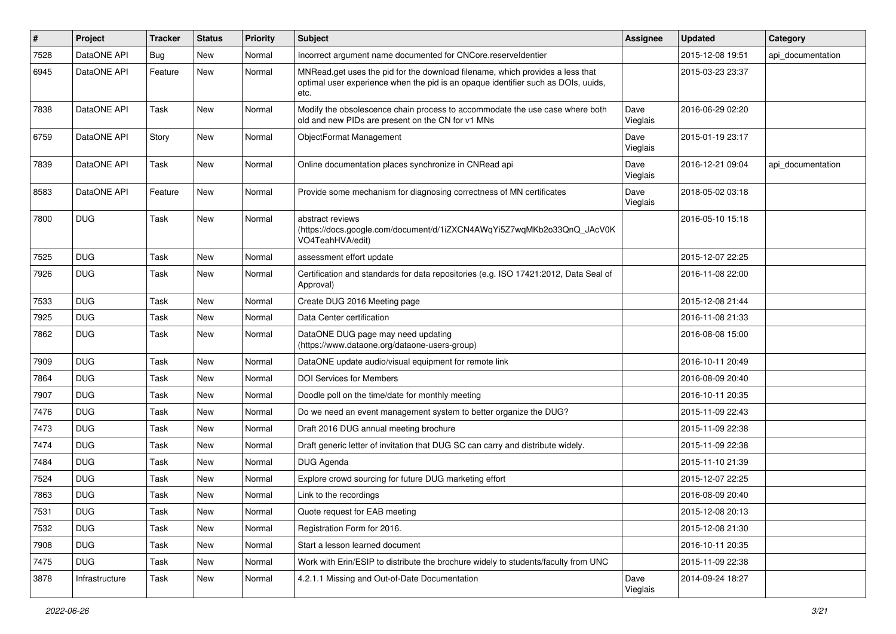| $\vert$ # | Project        | <b>Tracker</b> | <b>Status</b> | Priority | <b>Subject</b>                                                                                                                                                             | <b>Assignee</b>  | <b>Updated</b>   | Category          |
|-----------|----------------|----------------|---------------|----------|----------------------------------------------------------------------------------------------------------------------------------------------------------------------------|------------------|------------------|-------------------|
| 7528      | DataONE API    | <b>Bug</b>     | New           | Normal   | Incorrect argument name documented for CNCore.reserveldentier                                                                                                              |                  | 2015-12-08 19:51 | api_documentation |
| 6945      | DataONE API    | Feature        | New           | Normal   | MNRead.get uses the pid for the download filename, which provides a less that<br>optimal user experience when the pid is an opaque identifier such as DOIs, uuids,<br>etc. |                  | 2015-03-23 23:37 |                   |
| 7838      | DataONE API    | Task           | New           | Normal   | Modify the obsolescence chain process to accommodate the use case where both<br>old and new PIDs are present on the CN for v1 MNs                                          | Dave<br>Vieglais | 2016-06-29 02:20 |                   |
| 6759      | DataONE API    | Story          | New           | Normal   | ObjectFormat Management                                                                                                                                                    | Dave<br>Vieglais | 2015-01-19 23:17 |                   |
| 7839      | DataONE API    | Task           | New           | Normal   | Online documentation places synchronize in CNRead api                                                                                                                      | Dave<br>Vieglais | 2016-12-21 09:04 | api documentation |
| 8583      | DataONE API    | Feature        | New           | Normal   | Provide some mechanism for diagnosing correctness of MN certificates                                                                                                       | Dave<br>Vieglais | 2018-05-02 03:18 |                   |
| 7800      | <b>DUG</b>     | Task           | <b>New</b>    | Normal   | abstract reviews<br>(https://docs.google.com/document/d/1iZXCN4AWqYi5Z7wqMKb2o33QnQ_JAcV0K<br>VO4TeahHVA/edit)                                                             |                  | 2016-05-10 15:18 |                   |
| 7525      | <b>DUG</b>     | Task           | New           | Normal   | assessment effort update                                                                                                                                                   |                  | 2015-12-07 22:25 |                   |
| 7926      | <b>DUG</b>     | Task           | New           | Normal   | Certification and standards for data repositories (e.g. ISO 17421:2012, Data Seal of<br>Approval)                                                                          |                  | 2016-11-08 22:00 |                   |
| 7533      | <b>DUG</b>     | Task           | New           | Normal   | Create DUG 2016 Meeting page                                                                                                                                               |                  | 2015-12-08 21:44 |                   |
| 7925      | <b>DUG</b>     | Task           | New           | Normal   | Data Center certification                                                                                                                                                  |                  | 2016-11-08 21:33 |                   |
| 7862      | <b>DUG</b>     | Task           | New           | Normal   | DataONE DUG page may need updating<br>(https://www.dataone.org/dataone-users-group)                                                                                        |                  | 2016-08-08 15:00 |                   |
| 7909      | <b>DUG</b>     | Task           | New           | Normal   | DataONE update audio/visual equipment for remote link                                                                                                                      |                  | 2016-10-11 20:49 |                   |
| 7864      | <b>DUG</b>     | Task           | <b>New</b>    | Normal   | <b>DOI Services for Members</b>                                                                                                                                            |                  | 2016-08-09 20:40 |                   |
| 7907      | <b>DUG</b>     | Task           | New           | Normal   | Doodle poll on the time/date for monthly meeting                                                                                                                           |                  | 2016-10-11 20:35 |                   |
| 7476      | <b>DUG</b>     | Task           | New           | Normal   | Do we need an event management system to better organize the DUG?                                                                                                          |                  | 2015-11-09 22:43 |                   |
| 7473      | <b>DUG</b>     | Task           | New           | Normal   | Draft 2016 DUG annual meeting brochure                                                                                                                                     |                  | 2015-11-09 22:38 |                   |
| 7474      | <b>DUG</b>     | Task           | New           | Normal   | Draft generic letter of invitation that DUG SC can carry and distribute widely.                                                                                            |                  | 2015-11-09 22:38 |                   |
| 7484      | <b>DUG</b>     | Task           | <b>New</b>    | Normal   | DUG Agenda                                                                                                                                                                 |                  | 2015-11-10 21:39 |                   |
| 7524      | <b>DUG</b>     | Task           | New           | Normal   | Explore crowd sourcing for future DUG marketing effort                                                                                                                     |                  | 2015-12-07 22:25 |                   |
| 7863      | <b>DUG</b>     | Task           | New           | Normal   | Link to the recordings                                                                                                                                                     |                  | 2016-08-09 20:40 |                   |
| 7531      | <b>DUG</b>     | Task           | New           | Normal   | Quote request for EAB meeting                                                                                                                                              |                  | 2015-12-08 20:13 |                   |
| 7532      | <b>DUG</b>     | Task           | New           | Normal   | Registration Form for 2016.                                                                                                                                                |                  | 2015-12-08 21:30 |                   |
| 7908      | <b>DUG</b>     | Task           | New           | Normal   | Start a lesson learned document                                                                                                                                            |                  | 2016-10-11 20:35 |                   |
| 7475      | <b>DUG</b>     | Task           | New           | Normal   | Work with Erin/ESIP to distribute the brochure widely to students/faculty from UNC                                                                                         |                  | 2015-11-09 22:38 |                   |
| 3878      | Infrastructure | Task           | New           | Normal   | 4.2.1.1 Missing and Out-of-Date Documentation                                                                                                                              | Dave<br>Vieglais | 2014-09-24 18:27 |                   |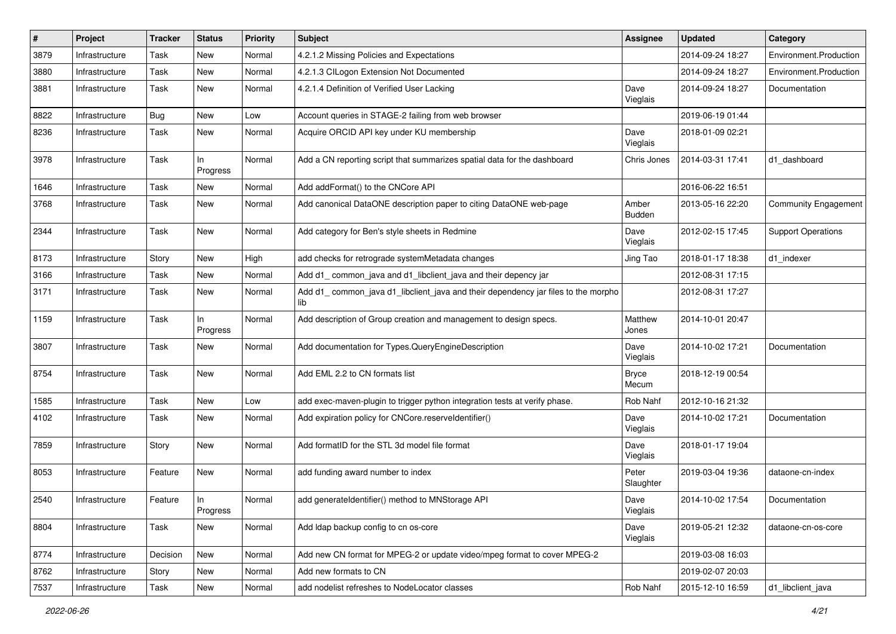| $\#$ | Project        | Tracker     | <b>Status</b>  | <b>Priority</b> | Subject                                                                                  | <b>Assignee</b>       | <b>Updated</b>   | Category                  |
|------|----------------|-------------|----------------|-----------------|------------------------------------------------------------------------------------------|-----------------------|------------------|---------------------------|
| 3879 | Infrastructure | Task        | New            | Normal          | 4.2.1.2 Missing Policies and Expectations                                                |                       | 2014-09-24 18:27 | Environment.Production    |
| 3880 | Infrastructure | <b>Task</b> | New            | Normal          | 4.2.1.3 CILogon Extension Not Documented                                                 |                       | 2014-09-24 18:27 | Environment.Production    |
| 3881 | Infrastructure | Task        | New            | Normal          | 4.2.1.4 Definition of Verified User Lacking                                              | Dave<br>Vieglais      | 2014-09-24 18:27 | Documentation             |
| 8822 | Infrastructure | <b>Bug</b>  | New            | Low             | Account queries in STAGE-2 failing from web browser                                      |                       | 2019-06-19 01:44 |                           |
| 8236 | Infrastructure | Task        | New            | Normal          | Acquire ORCID API key under KU membership                                                | Dave<br>Vieglais      | 2018-01-09 02:21 |                           |
| 3978 | Infrastructure | Task        | In<br>Progress | Normal          | Add a CN reporting script that summarizes spatial data for the dashboard                 | Chris Jones           | 2014-03-31 17:41 | d1 dashboard              |
| 1646 | Infrastructure | Task        | New            | Normal          | Add addFormat() to the CNCore API                                                        |                       | 2016-06-22 16:51 |                           |
| 3768 | Infrastructure | Task        | New            | Normal          | Add canonical DataONE description paper to citing DataONE web-page                       | Amber<br>Budden       | 2013-05-16 22:20 | Community Engagement      |
| 2344 | Infrastructure | Task        | New            | Normal          | Add category for Ben's style sheets in Redmine                                           | Dave<br>Vieglais      | 2012-02-15 17:45 | <b>Support Operations</b> |
| 8173 | Infrastructure | Story       | New            | High            | add checks for retrograde systemMetadata changes                                         | Jing Tao              | 2018-01-17 18:38 | d1_indexer                |
| 3166 | Infrastructure | Task        | New            | Normal          | Add d1_common_java and d1_libclient_java and their depency jar                           |                       | 2012-08-31 17:15 |                           |
| 3171 | Infrastructure | Task        | New            | Normal          | Add d1_common_java d1_libclient_java and their dependency jar files to the morpho<br>lib |                       | 2012-08-31 17:27 |                           |
| 1159 | Infrastructure | Task        | In<br>Progress | Normal          | Add description of Group creation and management to design specs.                        | Matthew<br>Jones      | 2014-10-01 20:47 |                           |
| 3807 | Infrastructure | Task        | New            | Normal          | Add documentation for Types.QueryEngineDescription                                       | Dave<br>Vieglais      | 2014-10-02 17:21 | Documentation             |
| 8754 | Infrastructure | Task        | New            | Normal          | Add EML 2.2 to CN formats list                                                           | <b>Bryce</b><br>Mecum | 2018-12-19 00:54 |                           |
| 1585 | Infrastructure | Task        | New            | Low             | add exec-maven-plugin to trigger python integration tests at verify phase.               | Rob Nahf              | 2012-10-16 21:32 |                           |
| 4102 | Infrastructure | Task        | New            | Normal          | Add expiration policy for CNCore.reserveldentifier()                                     | Dave<br>Vieglais      | 2014-10-02 17:21 | Documentation             |
| 7859 | Infrastructure | Story       | New            | Normal          | Add formatID for the STL 3d model file format                                            | Dave<br>Vieglais      | 2018-01-17 19:04 |                           |
| 8053 | Infrastructure | Feature     | New            | Normal          | add funding award number to index                                                        | Peter<br>Slaughter    | 2019-03-04 19:36 | dataone-cn-index          |
| 2540 | Infrastructure | Feature     | In<br>Progress | Normal          | add generateIdentifier() method to MNStorage API                                         | Dave<br>Vieglais      | 2014-10-02 17:54 | Documentation             |
| 8804 | Infrastructure | Task        | New            | Normal          | Add Idap backup config to cn os-core                                                     | Dave<br>Vieglais      | 2019-05-21 12:32 | dataone-cn-os-core        |
| 8774 | Infrastructure | Decision    | New            | Normal          | Add new CN format for MPEG-2 or update video/mpeg format to cover MPEG-2                 |                       | 2019-03-08 16:03 |                           |
| 8762 | Infrastructure | Story       | New            | Normal          | Add new formats to CN                                                                    |                       | 2019-02-07 20:03 |                           |
| 7537 | Infrastructure | Task        | New            | Normal          | add nodelist refreshes to NodeLocator classes                                            | Rob Nahf              | 2015-12-10 16:59 | d1_libclient_java         |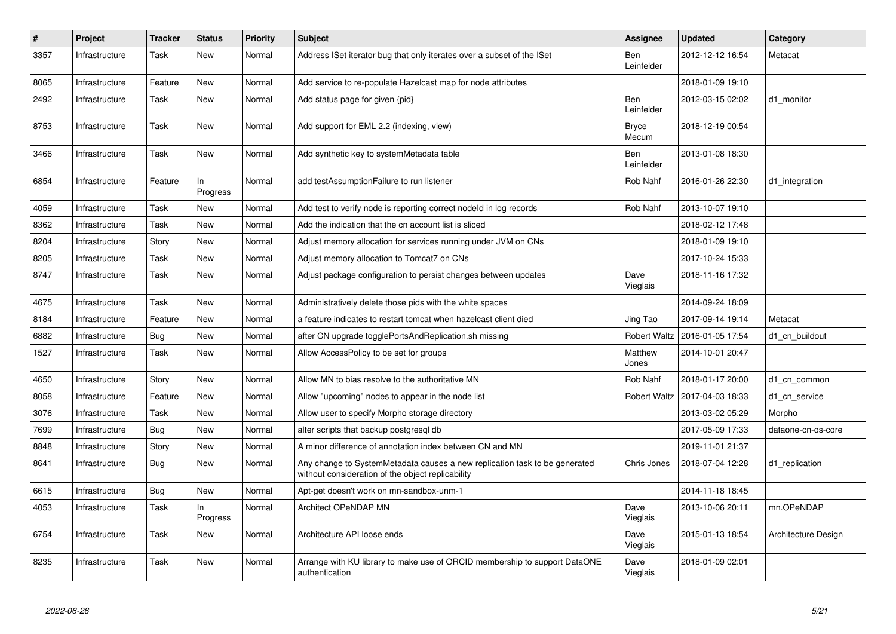| $\vert$ # | Project        | <b>Tracker</b> | <b>Status</b>   | <b>Priority</b> | <b>Subject</b>                                                                                                                  | Assignee                 | <b>Updated</b>   | Category            |
|-----------|----------------|----------------|-----------------|-----------------|---------------------------------------------------------------------------------------------------------------------------------|--------------------------|------------------|---------------------|
| 3357      | Infrastructure | Task           | New             | Normal          | Address ISet iterator bug that only iterates over a subset of the ISet                                                          | Ben<br>Leinfelder        | 2012-12-12 16:54 | Metacat             |
| 8065      | Infrastructure | Feature        | New             | Normal          | Add service to re-populate Hazelcast map for node attributes                                                                    |                          | 2018-01-09 19:10 |                     |
| 2492      | Infrastructure | Task           | New             | Normal          | Add status page for given {pid}                                                                                                 | <b>Ben</b><br>Leinfelder | 2012-03-15 02:02 | d1 monitor          |
| 8753      | Infrastructure | Task           | New             | Normal          | Add support for EML 2.2 (indexing, view)                                                                                        | <b>Bryce</b><br>Mecum    | 2018-12-19 00:54 |                     |
| 3466      | Infrastructure | Task           | New             | Normal          | Add synthetic key to systemMetadata table                                                                                       | <b>Ben</b><br>Leinfelder | 2013-01-08 18:30 |                     |
| 6854      | Infrastructure | Feature        | In.<br>Progress | Normal          | add testAssumptionFailure to run listener                                                                                       | Rob Nahf                 | 2016-01-26 22:30 | d1 integration      |
| 4059      | Infrastructure | Task           | New             | Normal          | Add test to verify node is reporting correct nodeld in log records                                                              | Rob Nahf                 | 2013-10-07 19:10 |                     |
| 8362      | Infrastructure | Task           | New             | Normal          | Add the indication that the cn account list is sliced                                                                           |                          | 2018-02-12 17:48 |                     |
| 8204      | Infrastructure | Story          | New             | Normal          | Adjust memory allocation for services running under JVM on CNs                                                                  |                          | 2018-01-09 19:10 |                     |
| 8205      | Infrastructure | Task           | New             | Normal          | Adjust memory allocation to Tomcat7 on CNs                                                                                      |                          | 2017-10-24 15:33 |                     |
| 8747      | Infrastructure | Task           | New             | Normal          | Adjust package configuration to persist changes between updates                                                                 | Dave<br>Vieglais         | 2018-11-16 17:32 |                     |
| 4675      | Infrastructure | Task           | New             | Normal          | Administratively delete those pids with the white spaces                                                                        |                          | 2014-09-24 18:09 |                     |
| 8184      | Infrastructure | Feature        | <b>New</b>      | Normal          | a feature indicates to restart tomcat when hazelcast client died                                                                | Jing Tao                 | 2017-09-14 19:14 | Metacat             |
| 6882      | Infrastructure | Bug            | New             | Normal          | after CN upgrade togglePortsAndReplication.sh missing                                                                           | <b>Robert Waltz</b>      | 2016-01-05 17:54 | d1 cn buildout      |
| 1527      | Infrastructure | Task           | New             | Normal          | Allow AccessPolicy to be set for groups                                                                                         | Matthew<br>Jones         | 2014-10-01 20:47 |                     |
| 4650      | Infrastructure | Story          | New             | Normal          | Allow MN to bias resolve to the authoritative MN                                                                                | Rob Nahf                 | 2018-01-17 20:00 | d1 cn common        |
| 8058      | Infrastructure | Feature        | <b>New</b>      | Normal          | Allow "upcoming" nodes to appear in the node list                                                                               | <b>Robert Waltz</b>      | 2017-04-03 18:33 | d1_cn_service       |
| 3076      | Infrastructure | Task           | New             | Normal          | Allow user to specify Morpho storage directory                                                                                  |                          | 2013-03-02 05:29 | Morpho              |
| 7699      | Infrastructure | Bug            | New             | Normal          | alter scripts that backup postgresql db                                                                                         |                          | 2017-05-09 17:33 | dataone-cn-os-core  |
| 8848      | Infrastructure | Story          | <b>New</b>      | Normal          | A minor difference of annotation index between CN and MN                                                                        |                          | 2019-11-01 21:37 |                     |
| 8641      | Infrastructure | Bug            | New             | Normal          | Any change to SystemMetadata causes a new replication task to be generated<br>without consideration of the object replicability | Chris Jones              | 2018-07-04 12:28 | d1 replication      |
| 6615      | Infrastructure | Bug            | New             | Normal          | Apt-get doesn't work on mn-sandbox-unm-1                                                                                        |                          | 2014-11-18 18:45 |                     |
| 4053      | Infrastructure | Task           | ln.<br>Progress | Normal          | <b>Architect OPeNDAP MN</b>                                                                                                     | Dave<br>Vieglais         | 2013-10-06 20:11 | mn.OPeNDAP          |
| 6754      | Infrastructure | Task           | New             | Normal          | Architecture API loose ends                                                                                                     | Dave<br>Vieglais         | 2015-01-13 18:54 | Architecture Design |
| 8235      | Infrastructure | Task           | <b>New</b>      | Normal          | Arrange with KU library to make use of ORCID membership to support DataONE<br>authentication                                    | Dave<br>Vieglais         | 2018-01-09 02:01 |                     |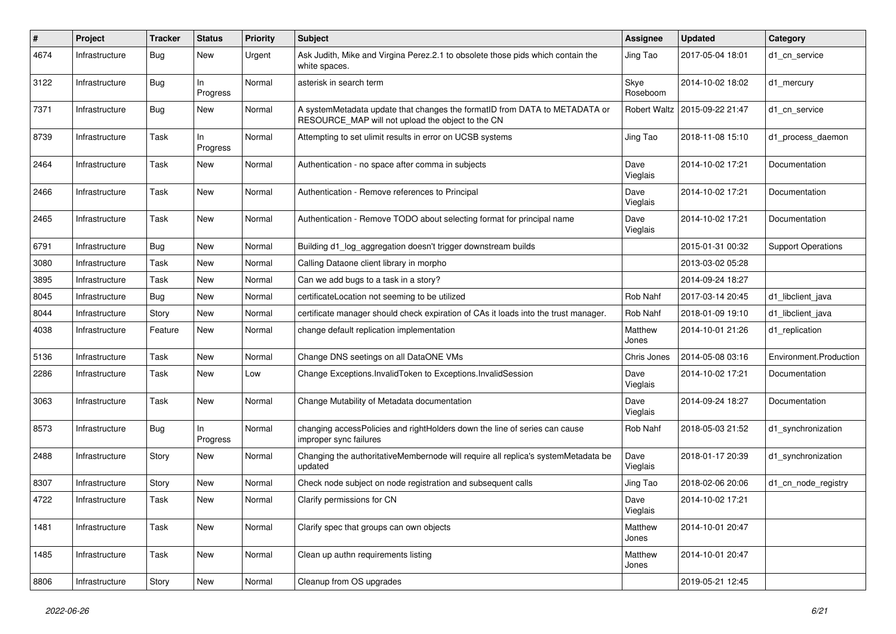| #    | Project        | <b>Tracker</b> | <b>Status</b>   | <b>Priority</b> | <b>Subject</b>                                                                                                                  | <b>Assignee</b>     | <b>Updated</b>   | Category                  |
|------|----------------|----------------|-----------------|-----------------|---------------------------------------------------------------------------------------------------------------------------------|---------------------|------------------|---------------------------|
| 4674 | Infrastructure | <b>Bug</b>     | New             | Urgent          | Ask Judith, Mike and Virgina Perez.2.1 to obsolete those pids which contain the<br>white spaces.                                | Jing Tao            | 2017-05-04 18:01 | d1_cn_service             |
| 3122 | Infrastructure | <b>Bug</b>     | In<br>Progress  | Normal          | asterisk in search term                                                                                                         | Skye<br>Roseboom    | 2014-10-02 18:02 | d1 mercury                |
| 7371 | Infrastructure | <b>Bug</b>     | New             | Normal          | A systemMetadata update that changes the formatID from DATA to METADATA or<br>RESOURCE_MAP will not upload the object to the CN | <b>Robert Waltz</b> | 2015-09-22 21:47 | d1 cn service             |
| 8739 | Infrastructure | Task           | In.<br>Progress | Normal          | Attempting to set ulimit results in error on UCSB systems                                                                       | Jing Tao            | 2018-11-08 15:10 | d1_process_daemon         |
| 2464 | Infrastructure | Task           | New             | Normal          | Authentication - no space after comma in subjects                                                                               | Dave<br>Vieglais    | 2014-10-02 17:21 | Documentation             |
| 2466 | Infrastructure | Task           | New             | Normal          | Authentication - Remove references to Principal                                                                                 | Dave<br>Vieglais    | 2014-10-02 17:21 | Documentation             |
| 2465 | Infrastructure | Task           | <b>New</b>      | Normal          | Authentication - Remove TODO about selecting format for principal name                                                          | Dave<br>Vieglais    | 2014-10-02 17:21 | Documentation             |
| 6791 | Infrastructure | <b>Bug</b>     | <b>New</b>      | Normal          | Building d1_log_aggregation doesn't trigger downstream builds                                                                   |                     | 2015-01-31 00:32 | <b>Support Operations</b> |
| 3080 | Infrastructure | Task           | <b>New</b>      | Normal          | Calling Dataone client library in morpho                                                                                        |                     | 2013-03-02 05:28 |                           |
| 3895 | Infrastructure | Task           | New             | Normal          | Can we add bugs to a task in a story?                                                                                           |                     | 2014-09-24 18:27 |                           |
| 8045 | Infrastructure | Bug            | New             | Normal          | certificateLocation not seeming to be utilized                                                                                  | Rob Nahf            | 2017-03-14 20:45 | d1 libclient java         |
| 8044 | Infrastructure | Story          | New             | Normal          | certificate manager should check expiration of CAs it loads into the trust manager.                                             | Rob Nahf            | 2018-01-09 19:10 | d1_libclient_java         |
| 4038 | Infrastructure | Feature        | New             | Normal          | change default replication implementation                                                                                       | Matthew<br>Jones    | 2014-10-01 21:26 | d1_replication            |
| 5136 | Infrastructure | Task           | New             | Normal          | Change DNS seetings on all DataONE VMs                                                                                          | Chris Jones         | 2014-05-08 03:16 | Environment.Production    |
| 2286 | Infrastructure | Task           | New             | Low             | Change Exceptions. Invalid Token to Exceptions. Invalid Session                                                                 | Dave<br>Vieglais    | 2014-10-02 17:21 | Documentation             |
| 3063 | Infrastructure | Task           | New             | Normal          | Change Mutability of Metadata documentation                                                                                     | Dave<br>Vieglais    | 2014-09-24 18:27 | Documentation             |
| 8573 | Infrastructure | <b>Bug</b>     | In<br>Progress  | Normal          | changing accessPolicies and rightHolders down the line of series can cause<br>improper sync failures                            | Rob Nahf            | 2018-05-03 21:52 | d1_synchronization        |
| 2488 | Infrastructure | Story          | New             | Normal          | Changing the authoritativeMembernode will require all replica's systemMetadata be<br>updated                                    | Dave<br>Vieglais    | 2018-01-17 20:39 | d1_synchronization        |
| 8307 | Infrastructure | Story          | <b>New</b>      | Normal          | Check node subject on node registration and subsequent calls                                                                    | Jing Tao            | 2018-02-06 20:06 | d1_cn_node_registry       |
| 4722 | Infrastructure | Task           | <b>New</b>      | Normal          | Clarify permissions for CN                                                                                                      | Dave<br>Vieglais    | 2014-10-02 17:21 |                           |
| 1481 | Infrastructure | Task           | New             | Normal          | Clarify spec that groups can own objects                                                                                        | Matthew<br>Jones    | 2014-10-01 20:47 |                           |
| 1485 | Infrastructure | Task           | New             | Normal          | Clean up authn requirements listing                                                                                             | Matthew<br>Jones    | 2014-10-01 20:47 |                           |
| 8806 | Infrastructure | Story          | New             | Normal          | Cleanup from OS upgrades                                                                                                        |                     | 2019-05-21 12:45 |                           |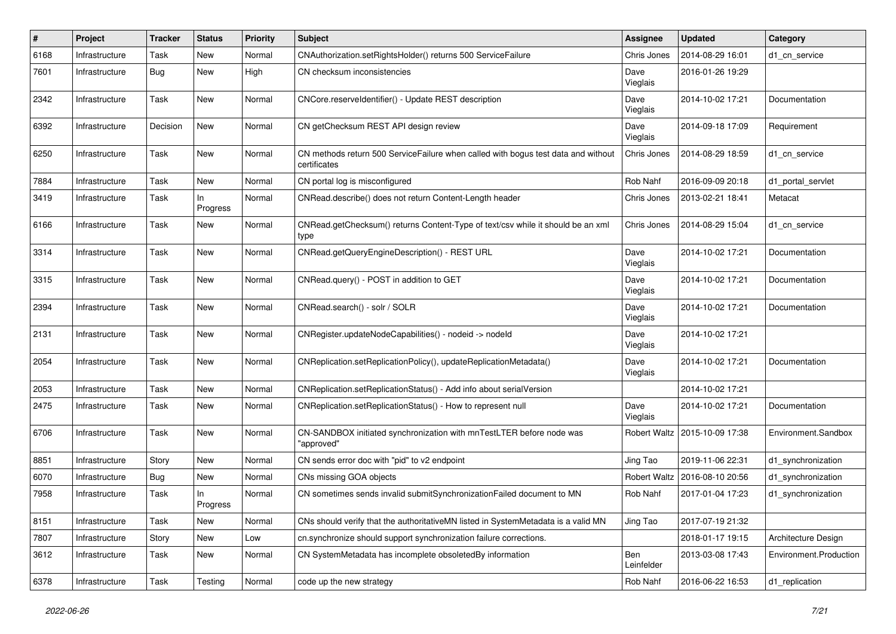| #    | Project        | <b>Tracker</b> | <b>Status</b>   | <b>Priority</b> | <b>Subject</b>                                                                                     | <b>Assignee</b>   | <b>Updated</b>                  | Category               |
|------|----------------|----------------|-----------------|-----------------|----------------------------------------------------------------------------------------------------|-------------------|---------------------------------|------------------------|
| 6168 | Infrastructure | Task           | New             | Normal          | CNAuthorization.setRightsHolder() returns 500 ServiceFailure                                       | Chris Jones       | 2014-08-29 16:01                | d1_cn_service          |
| 7601 | Infrastructure | Bug            | <b>New</b>      | High            | CN checksum inconsistencies                                                                        | Dave<br>Vieglais  | 2016-01-26 19:29                |                        |
| 2342 | Infrastructure | Task           | New             | Normal          | CNCore.reserveldentifier() - Update REST description                                               | Dave<br>Vieglais  | 2014-10-02 17:21                | Documentation          |
| 6392 | Infrastructure | Decision       | New             | Normal          | CN getChecksum REST API design review                                                              | Dave<br>Vieglais  | 2014-09-18 17:09                | Requirement            |
| 6250 | Infrastructure | Task           | New             | Normal          | CN methods return 500 Service Failure when called with bogus test data and without<br>certificates | Chris Jones       | 2014-08-29 18:59                | d1 cn service          |
| 7884 | Infrastructure | Task           | <b>New</b>      | Normal          | CN portal log is misconfigured                                                                     | Rob Nahf          | 2016-09-09 20:18                | d1_portal_servlet      |
| 3419 | Infrastructure | Task           | In<br>Progress  | Normal          | CNRead.describe() does not return Content-Length header                                            | Chris Jones       | 2013-02-21 18:41                | Metacat                |
| 6166 | Infrastructure | Task           | New             | Normal          | CNRead.getChecksum() returns Content-Type of text/csv while it should be an xml<br>type            | Chris Jones       | 2014-08-29 15:04                | d1 cn service          |
| 3314 | Infrastructure | Task           | New             | Normal          | CNRead.getQueryEngineDescription() - REST URL                                                      | Dave<br>Vieglais  | 2014-10-02 17:21                | Documentation          |
| 3315 | Infrastructure | Task           | <b>New</b>      | Normal          | CNRead.query() - POST in addition to GET                                                           | Dave<br>Vieglais  | 2014-10-02 17:21                | Documentation          |
| 2394 | Infrastructure | Task           | New             | Normal          | CNRead.search() - solr / SOLR                                                                      | Dave<br>Vieglais  | 2014-10-02 17:21                | Documentation          |
| 2131 | Infrastructure | Task           | New             | Normal          | CNRegister.updateNodeCapabilities() - nodeid -> nodeld                                             | Dave<br>Vieglais  | 2014-10-02 17:21                |                        |
| 2054 | Infrastructure | Task           | New             | Normal          | CNReplication.setReplicationPolicy(), updateReplicationMetadata()                                  | Dave<br>Vieglais  | 2014-10-02 17:21                | Documentation          |
| 2053 | Infrastructure | Task           | <b>New</b>      | Normal          | CNReplication.setReplicationStatus() - Add info about serialVersion                                |                   | 2014-10-02 17:21                |                        |
| 2475 | Infrastructure | Task           | New             | Normal          | CNReplication.setReplicationStatus() - How to represent null                                       | Dave<br>Vieglais  | 2014-10-02 17:21                | Documentation          |
| 6706 | Infrastructure | Task           | <b>New</b>      | Normal          | CN-SANDBOX initiated synchronization with mnTestLTER before node was<br>"approved"                 |                   | Robert Waltz   2015-10-09 17:38 | Environment.Sandbox    |
| 8851 | Infrastructure | Story          | <b>New</b>      | Normal          | CN sends error doc with "pid" to v2 endpoint                                                       | Jing Tao          | 2019-11-06 22:31                | d1_synchronization     |
| 6070 | Infrastructure | <b>Bug</b>     | New             | Normal          | CNs missing GOA objects                                                                            | Robert Waltz      | 2016-08-10 20:56                | d1 synchronization     |
| 7958 | Infrastructure | Task           | In.<br>Progress | Normal          | CN sometimes sends invalid submitSynchronizationFailed document to MN                              | Rob Nahf          | 2017-01-04 17:23                | d1_synchronization     |
| 8151 | Infrastructure | Task           | New             | Normal          | CNs should verify that the authoritativeMN listed in SystemMetadata is a valid MN                  | Jing Tao          | 2017-07-19 21:32                |                        |
| 7807 | Infrastructure | Story          | New             | Low             | cn.synchronize should support synchronization failure corrections.                                 |                   | 2018-01-17 19:15                | Architecture Design    |
| 3612 | Infrastructure | Task           | New             | Normal          | CN SystemMetadata has incomplete obsoletedBy information                                           | Ben<br>Leinfelder | 2013-03-08 17:43                | Environment.Production |
| 6378 | Infrastructure | Task           | Testing         | Normal          | code up the new strategy                                                                           | Rob Nahf          | 2016-06-22 16:53                | d1_replication         |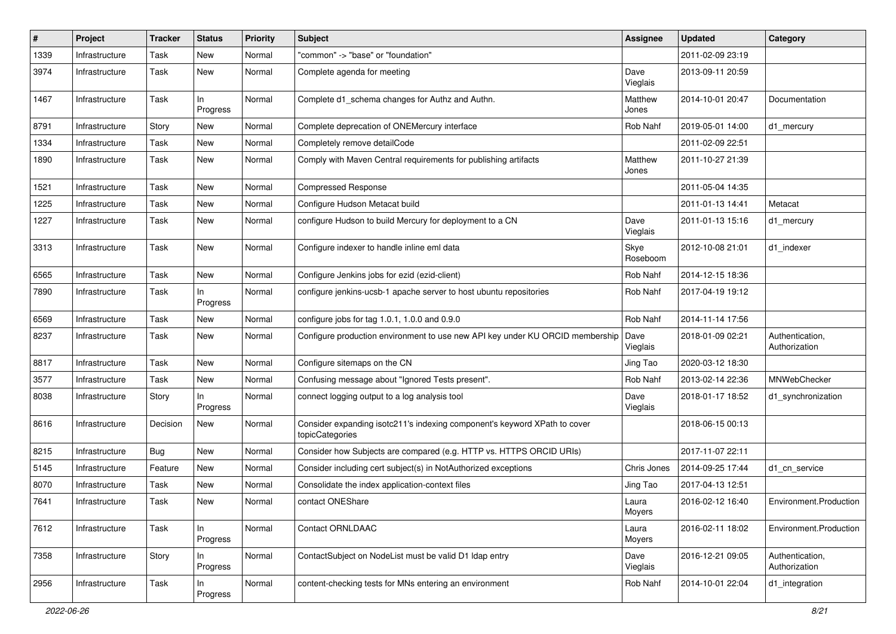| $\pmb{\#}$ | Project        | <b>Tracker</b> | <b>Status</b>   | <b>Priority</b> | <b>Subject</b>                                                                               | Assignee         | <b>Updated</b>   | Category                         |
|------------|----------------|----------------|-----------------|-----------------|----------------------------------------------------------------------------------------------|------------------|------------------|----------------------------------|
| 1339       | Infrastructure | Task           | New             | Normal          | "common" -> "base" or "foundation"                                                           |                  | 2011-02-09 23:19 |                                  |
| 3974       | Infrastructure | Task           | <b>New</b>      | Normal          | Complete agenda for meeting                                                                  | Dave<br>Vieglais | 2013-09-11 20:59 |                                  |
| 1467       | Infrastructure | Task           | In<br>Progress  | Normal          | Complete d1_schema changes for Authz and Authn.                                              | Matthew<br>Jones | 2014-10-01 20:47 | Documentation                    |
| 8791       | Infrastructure | Story          | New             | Normal          | Complete deprecation of ONEMercury interface                                                 | Rob Nahf         | 2019-05-01 14:00 | d1 mercury                       |
| 1334       | Infrastructure | Task           | <b>New</b>      | Normal          | Completely remove detailCode                                                                 |                  | 2011-02-09 22:51 |                                  |
| 1890       | Infrastructure | Task           | New             | Normal          | Comply with Maven Central requirements for publishing artifacts                              | Matthew<br>Jones | 2011-10-27 21:39 |                                  |
| 1521       | Infrastructure | Task           | <b>New</b>      | Normal          | <b>Compressed Response</b>                                                                   |                  | 2011-05-04 14:35 |                                  |
| 1225       | Infrastructure | Task           | New             | Normal          | Configure Hudson Metacat build                                                               |                  | 2011-01-13 14:41 | Metacat                          |
| 1227       | Infrastructure | Task           | New             | Normal          | configure Hudson to build Mercury for deployment to a CN                                     | Dave<br>Vieglais | 2011-01-13 15:16 | d1_mercury                       |
| 3313       | Infrastructure | Task           | New             | Normal          | Configure indexer to handle inline eml data                                                  | Skye<br>Roseboom | 2012-10-08 21:01 | d1_indexer                       |
| 6565       | Infrastructure | Task           | <b>New</b>      | Normal          | Configure Jenkins jobs for ezid (ezid-client)                                                | Rob Nahf         | 2014-12-15 18:36 |                                  |
| 7890       | Infrastructure | Task           | In<br>Progress  | Normal          | configure jenkins-ucsb-1 apache server to host ubuntu repositories                           | Rob Nahf         | 2017-04-19 19:12 |                                  |
| 6569       | Infrastructure | Task           | New             | Normal          | configure jobs for tag $1.0.1$ , $1.0.0$ and $0.9.0$                                         | Rob Nahf         | 2014-11-14 17:56 |                                  |
| 8237       | Infrastructure | Task           | New             | Normal          | Configure production environment to use new API key under KU ORCID membership                | Dave<br>Vieglais | 2018-01-09 02:21 | Authentication,<br>Authorization |
| 8817       | Infrastructure | Task           | New             | Normal          | Configure sitemaps on the CN                                                                 | Jing Tao         | 2020-03-12 18:30 |                                  |
| 3577       | Infrastructure | Task           | <b>New</b>      | Normal          | Confusing message about "Ignored Tests present".                                             | Rob Nahf         | 2013-02-14 22:36 | MNWebChecker                     |
| 8038       | Infrastructure | Story          | In<br>Progress  | Normal          | connect logging output to a log analysis tool                                                | Dave<br>Vieglais | 2018-01-17 18:52 | d1_synchronization               |
| 8616       | Infrastructure | Decision       | <b>New</b>      | Normal          | Consider expanding isotc211's indexing component's keyword XPath to cover<br>topicCategories |                  | 2018-06-15 00:13 |                                  |
| 8215       | Infrastructure | <b>Bug</b>     | <b>New</b>      | Normal          | Consider how Subjects are compared (e.g. HTTP vs. HTTPS ORCID URIs)                          |                  | 2017-11-07 22:11 |                                  |
| 5145       | Infrastructure | Feature        | <b>New</b>      | Normal          | Consider including cert subject(s) in NotAuthorized exceptions                               | Chris Jones      | 2014-09-25 17:44 | d1 cn service                    |
| 8070       | Infrastructure | Task           | New             | Normal          | Consolidate the index application-context files                                              | Jing Tao         | 2017-04-13 12:51 |                                  |
| 7641       | Infrastructure | Task           | New             | Normal          | contact ONEShare                                                                             | Laura<br>Moyers  | 2016-02-12 16:40 | Environment.Production           |
| 7612       | Infrastructure | Task           | In.<br>Progress | Normal          | Contact ORNLDAAC                                                                             | Laura<br>Moyers  | 2016-02-11 18:02 | Environment.Production           |
| 7358       | Infrastructure | Story          | In<br>Progress  | Normal          | ContactSubject on NodeList must be valid D1 Idap entry                                       | Dave<br>Vieglais | 2016-12-21 09:05 | Authentication,<br>Authorization |
| 2956       | Infrastructure | Task           | In<br>Progress  | Normal          | content-checking tests for MNs entering an environment                                       | Rob Nahf         | 2014-10-01 22:04 | d1_integration                   |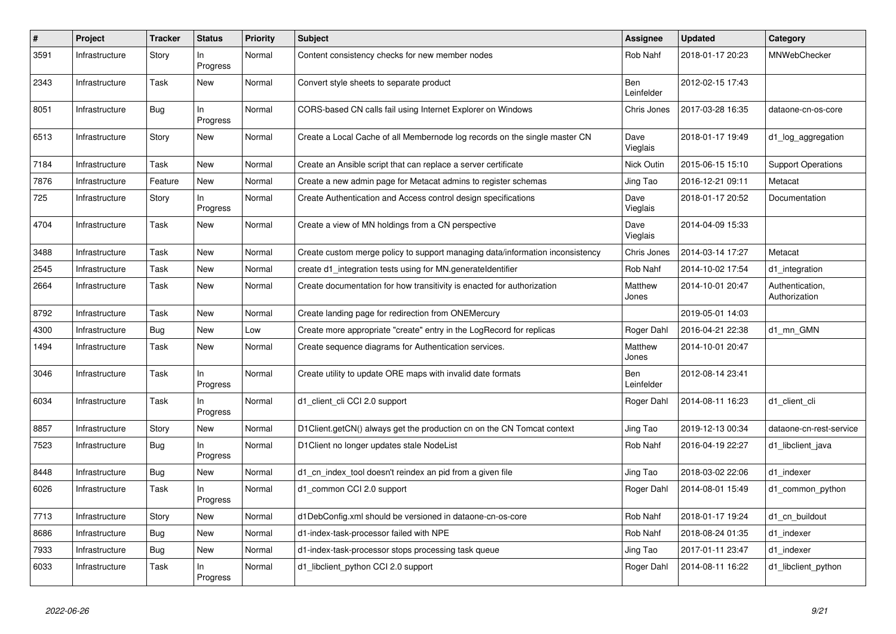| $\#$ | Project        | Tracker    | <b>Status</b>   | <b>Priority</b> | <b>Subject</b>                                                                | Assignee                 | <b>Updated</b>   | Category                         |
|------|----------------|------------|-----------------|-----------------|-------------------------------------------------------------------------------|--------------------------|------------------|----------------------------------|
| 3591 | Infrastructure | Story      | In.<br>Progress | Normal          | Content consistency checks for new member nodes                               | Rob Nahf                 | 2018-01-17 20:23 | MNWebChecker                     |
| 2343 | Infrastructure | Task       | New             | Normal          | Convert style sheets to separate product                                      | <b>Ben</b><br>Leinfelder | 2012-02-15 17:43 |                                  |
| 8051 | Infrastructure | Bug        | ln<br>Progress  | Normal          | CORS-based CN calls fail using Internet Explorer on Windows                   | Chris Jones              | 2017-03-28 16:35 | dataone-cn-os-core               |
| 6513 | Infrastructure | Story      | New             | Normal          | Create a Local Cache of all Membernode log records on the single master CN    | Dave<br>Vieglais         | 2018-01-17 19:49 | d1_log_aggregation               |
| 7184 | Infrastructure | Task       | New             | Normal          | Create an Ansible script that can replace a server certificate                | Nick Outin               | 2015-06-15 15:10 | <b>Support Operations</b>        |
| 7876 | Infrastructure | Feature    | New             | Normal          | Create a new admin page for Metacat admins to register schemas                | Jing Tao                 | 2016-12-21 09:11 | Metacat                          |
| 725  | Infrastructure | Story      | ln<br>Progress  | Normal          | Create Authentication and Access control design specifications                | Dave<br>Vieglais         | 2018-01-17 20:52 | Documentation                    |
| 4704 | Infrastructure | Task       | <b>New</b>      | Normal          | Create a view of MN holdings from a CN perspective                            | Dave<br>Vieglais         | 2014-04-09 15:33 |                                  |
| 3488 | Infrastructure | Task       | New             | Normal          | Create custom merge policy to support managing data/information inconsistency | Chris Jones              | 2014-03-14 17:27 | Metacat                          |
| 2545 | Infrastructure | Task       | New             | Normal          | create d1_integration tests using for MN.generateIdentifier                   | Rob Nahf                 | 2014-10-02 17:54 | d1 integration                   |
| 2664 | Infrastructure | Task       | <b>New</b>      | Normal          | Create documentation for how transitivity is enacted for authorization        | Matthew<br>Jones         | 2014-10-01 20:47 | Authentication,<br>Authorization |
| 8792 | Infrastructure | Task       | New             | Normal          | Create landing page for redirection from ONEMercury                           |                          | 2019-05-01 14:03 |                                  |
| 4300 | Infrastructure | <b>Bug</b> | New             | Low             | Create more appropriate "create" entry in the LogRecord for replicas          | Roger Dahl               | 2016-04-21 22:38 | d1 mn GMN                        |
| 1494 | Infrastructure | Task       | New             | Normal          | Create sequence diagrams for Authentication services.                         | Matthew<br>Jones         | 2014-10-01 20:47 |                                  |
| 3046 | Infrastructure | Task       | In.<br>Progress | Normal          | Create utility to update ORE maps with invalid date formats                   | Ben<br>Leinfelder        | 2012-08-14 23:41 |                                  |
| 6034 | Infrastructure | Task       | ln.<br>Progress | Normal          | d1_client_cli CCI 2.0 support                                                 | Roger Dahl               | 2014-08-11 16:23 | d1 client cli                    |
| 8857 | Infrastructure | Story      | <b>New</b>      | Normal          | D1Client.getCN() always get the production cn on the CN Tomcat context        | Jing Tao                 | 2019-12-13 00:34 | dataone-cn-rest-service          |
| 7523 | Infrastructure | <b>Bug</b> | In.<br>Progress | Normal          | D1Client no longer updates stale NodeList                                     | Rob Nahf                 | 2016-04-19 22:27 | d1 libclient java                |
| 8448 | Infrastructure | Bug        | New             | Normal          | d1 cn index tool doesn't reindex an pid from a given file                     | Jing Tao                 | 2018-03-02 22:06 | d1 indexer                       |
| 6026 | Infrastructure | Task       | In<br>Progress  | Normal          | d1_common CCI 2.0 support                                                     | Roger Dahl               | 2014-08-01 15:49 | d1 common python                 |
| 7713 | Infrastructure | Story      | New             | Normal          | d1DebConfig.xml should be versioned in dataone-cn-os-core                     | Rob Nahf                 | 2018-01-17 19:24 | d1 cn buildout                   |
| 8686 | Infrastructure | Bug        | <b>New</b>      | Normal          | d1-index-task-processor failed with NPE                                       | Rob Nahf                 | 2018-08-24 01:35 | d1_indexer                       |
| 7933 | Infrastructure | <b>Bug</b> | New             | Normal          | d1-index-task-processor stops processing task queue                           | Jing Tao                 | 2017-01-11 23:47 | d1 indexer                       |
| 6033 | Infrastructure | Task       | In.<br>Progress | Normal          | d1_libclient_python CCI 2.0 support                                           | Roger Dahl               | 2014-08-11 16:22 | d1_libclient_python              |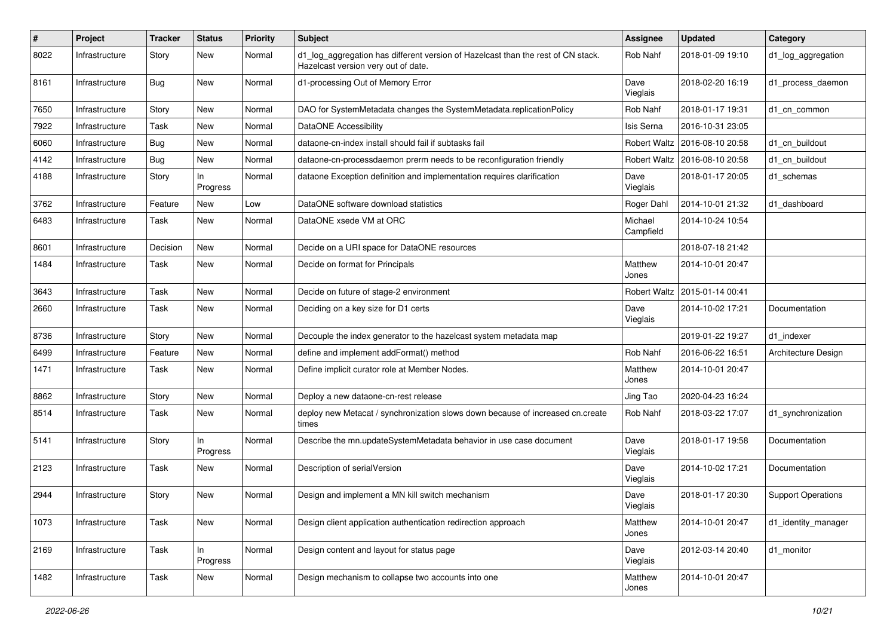| #    | <b>Project</b> | <b>Tracker</b> | <b>Status</b>   | <b>Priority</b> | Subject                                                                                                                 | Assignee             | <b>Updated</b>                  | Category                  |
|------|----------------|----------------|-----------------|-----------------|-------------------------------------------------------------------------------------------------------------------------|----------------------|---------------------------------|---------------------------|
| 8022 | Infrastructure | Story          | New             | Normal          | d1_log_aggregation has different version of Hazelcast than the rest of CN stack.<br>Hazelcast version very out of date. | Rob Nahf             | 2018-01-09 19:10                | d1_log_aggregation        |
| 8161 | Infrastructure | <b>Bug</b>     | New             | Normal          | d1-processing Out of Memory Error                                                                                       | Dave<br>Vieglais     | 2018-02-20 16:19                | d1_process_daemon         |
| 7650 | Infrastructure | Story          | <b>New</b>      | Normal          | DAO for SystemMetadata changes the SystemMetadata.replicationPolicy                                                     | Rob Nahf             | 2018-01-17 19:31                | d1 cn common              |
| 7922 | Infrastructure | Task           | New             | Normal          | <b>DataONE Accessibility</b>                                                                                            | Isis Serna           | 2016-10-31 23:05                |                           |
| 6060 | Infrastructure | Bug            | New             | Normal          | dataone-cn-index install should fail if subtasks fail                                                                   |                      | Robert Waltz   2016-08-10 20:58 | d1_cn_buildout            |
| 4142 | Infrastructure | Bug            | New             | Normal          | dataone-cn-processdaemon prerm needs to be reconfiguration friendly                                                     |                      | Robert Waltz   2016-08-10 20:58 | d1 cn buildout            |
| 4188 | Infrastructure | Story          | In.<br>Progress | Normal          | dataone Exception definition and implementation requires clarification                                                  | Dave<br>Vieglais     | 2018-01-17 20:05                | d1_schemas                |
| 3762 | Infrastructure | Feature        | New             | Low             | DataONE software download statistics                                                                                    | Roger Dahl           | 2014-10-01 21:32                | d1_dashboard              |
| 6483 | Infrastructure | Task           | New             | Normal          | DataONE xsede VM at ORC                                                                                                 | Michael<br>Campfield | 2014-10-24 10:54                |                           |
| 8601 | Infrastructure | Decision       | New             | Normal          | Decide on a URI space for DataONE resources                                                                             |                      | 2018-07-18 21:42                |                           |
| 1484 | Infrastructure | Task           | New             | Normal          | Decide on format for Principals                                                                                         | Matthew<br>Jones     | 2014-10-01 20:47                |                           |
| 3643 | Infrastructure | Task           | New             | Normal          | Decide on future of stage-2 environment                                                                                 | Robert Waltz         | 2015-01-14 00:41                |                           |
| 2660 | Infrastructure | Task           | New             | Normal          | Deciding on a key size for D1 certs                                                                                     | Dave<br>Vieglais     | 2014-10-02 17:21                | Documentation             |
| 8736 | Infrastructure | Story          | New             | Normal          | Decouple the index generator to the hazelcast system metadata map                                                       |                      | 2019-01-22 19:27                | d1_indexer                |
| 6499 | Infrastructure | Feature        | New             | Normal          | define and implement addFormat() method                                                                                 | Rob Nahf             | 2016-06-22 16:51                | Architecture Design       |
| 1471 | Infrastructure | Task           | New             | Normal          | Define implicit curator role at Member Nodes.                                                                           | Matthew<br>Jones     | 2014-10-01 20:47                |                           |
| 8862 | Infrastructure | Story          | New             | Normal          | Deploy a new dataone-cn-rest release                                                                                    | Jing Tao             | 2020-04-23 16:24                |                           |
| 8514 | Infrastructure | Task           | New             | Normal          | deploy new Metacat / synchronization slows down because of increased cn.create<br>times                                 | Rob Nahf             | 2018-03-22 17:07                | d1_synchronization        |
| 5141 | Infrastructure | Story          | In<br>Progress  | Normal          | Describe the mn.updateSystemMetadata behavior in use case document                                                      | Dave<br>Vieglais     | 2018-01-17 19:58                | Documentation             |
| 2123 | Infrastructure | Task           | New             | Normal          | Description of serialVersion                                                                                            | Dave<br>Vieglais     | 2014-10-02 17:21                | Documentation             |
| 2944 | Infrastructure | Story          | New             | Normal          | Design and implement a MN kill switch mechanism                                                                         | Dave<br>Vieglais     | 2018-01-17 20:30                | <b>Support Operations</b> |
| 1073 | Infrastructure | Task           | New             | Normal          | Design client application authentication redirection approach                                                           | Matthew<br>Jones     | 2014-10-01 20:47                | d1_identity_manager       |
| 2169 | Infrastructure | Task           | In<br>Progress  | Normal          | Design content and layout for status page                                                                               | Dave<br>Vieglais     | 2012-03-14 20:40                | d1_monitor                |
| 1482 | Infrastructure | Task           | New             | Normal          | Design mechanism to collapse two accounts into one                                                                      | Matthew<br>Jones     | 2014-10-01 20:47                |                           |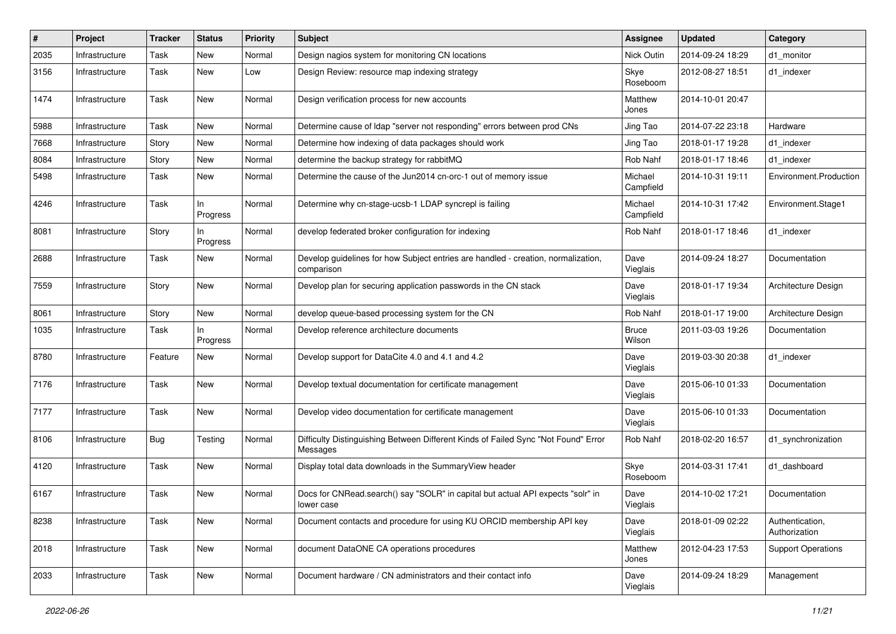| $\#$ | Project        | Tracker | <b>Status</b>   | <b>Priority</b> | <b>Subject</b>                                                                                  | <b>Assignee</b>        | <b>Updated</b>   | Category                         |
|------|----------------|---------|-----------------|-----------------|-------------------------------------------------------------------------------------------------|------------------------|------------------|----------------------------------|
| 2035 | Infrastructure | Task    | New             | Normal          | Design nagios system for monitoring CN locations                                                | Nick Outin             | 2014-09-24 18:29 | d1 monitor                       |
| 3156 | Infrastructure | Task    | New             | Low             | Design Review: resource map indexing strategy                                                   | Skye<br>Roseboom       | 2012-08-27 18:51 | d1 indexer                       |
| 1474 | Infrastructure | Task    | New             | Normal          | Design verification process for new accounts                                                    | Matthew<br>Jones       | 2014-10-01 20:47 |                                  |
| 5988 | Infrastructure | Task    | New             | Normal          | Determine cause of Idap "server not responding" errors between prod CNs                         | Jing Tao               | 2014-07-22 23:18 | Hardware                         |
| 7668 | Infrastructure | Story   | New             | Normal          | Determine how indexing of data packages should work                                             | Jing Tao               | 2018-01-17 19:28 | d1 indexer                       |
| 8084 | Infrastructure | Story   | New             | Normal          | determine the backup strategy for rabbitMQ                                                      | Rob Nahf               | 2018-01-17 18:46 | d1 indexer                       |
| 5498 | Infrastructure | Task    | New             | Normal          | Determine the cause of the Jun2014 cn-orc-1 out of memory issue                                 | Michael<br>Campfield   | 2014-10-31 19:11 | Environment.Production           |
| 4246 | Infrastructure | Task    | In<br>Progress  | Normal          | Determine why cn-stage-ucsb-1 LDAP syncrepl is failing                                          | Michael<br>Campfield   | 2014-10-31 17:42 | Environment.Stage1               |
| 8081 | Infrastructure | Story   | ln.<br>Progress | Normal          | develop federated broker configuration for indexing                                             | Rob Nahf               | 2018-01-17 18:46 | d1_indexer                       |
| 2688 | Infrastructure | Task    | New             | Normal          | Develop guidelines for how Subject entries are handled - creation, normalization,<br>comparison | Dave<br>Vieglais       | 2014-09-24 18:27 | Documentation                    |
| 7559 | Infrastructure | Story   | New             | Normal          | Develop plan for securing application passwords in the CN stack                                 | Dave<br>Vieglais       | 2018-01-17 19:34 | Architecture Design              |
| 8061 | Infrastructure | Story   | New             | Normal          | develop queue-based processing system for the CN                                                | Rob Nahf               | 2018-01-17 19:00 | Architecture Design              |
| 1035 | Infrastructure | Task    | In<br>Progress  | Normal          | Develop reference architecture documents                                                        | <b>Bruce</b><br>Wilson | 2011-03-03 19:26 | Documentation                    |
| 8780 | Infrastructure | Feature | New             | Normal          | Develop support for DataCite 4.0 and 4.1 and 4.2                                                | Dave<br>Vieglais       | 2019-03-30 20:38 | d1_indexer                       |
| 7176 | Infrastructure | Task    | New             | Normal          | Develop textual documentation for certificate management                                        | Dave<br>Vieglais       | 2015-06-10 01:33 | Documentation                    |
| 7177 | Infrastructure | Task    | New             | Normal          | Develop video documentation for certificate management                                          | Dave<br>Vieglais       | 2015-06-10 01:33 | Documentation                    |
| 8106 | Infrastructure | Bug     | Testing         | Normal          | Difficulty Distinguishing Between Different Kinds of Failed Sync "Not Found" Error<br>Messages  | Rob Nahf               | 2018-02-20 16:57 | d1_synchronization               |
| 4120 | Infrastructure | Task    | New             | Normal          | Display total data downloads in the SummaryView header                                          | Skye<br>Roseboom       | 2014-03-31 17:41 | d1 dashboard                     |
| 6167 | Infrastructure | Task    | New             | Normal          | Docs for CNRead.search() say "SOLR" in capital but actual API expects "solr" in<br>lower case   | Dave<br>Vieglais       | 2014-10-02 17:21 | Documentation                    |
| 8238 | Infrastructure | Task    | New             | Normal          | Document contacts and procedure for using KU ORCID membership API key                           | Dave<br>Vieglais       | 2018-01-09 02:22 | Authentication,<br>Authorization |
| 2018 | Infrastructure | Task    | New             | Normal          | document DataONE CA operations procedures                                                       | Matthew<br>Jones       | 2012-04-23 17:53 | <b>Support Operations</b>        |
| 2033 | Infrastructure | Task    | New             | Normal          | Document hardware / CN administrators and their contact info                                    | Dave<br>Vieglais       | 2014-09-24 18:29 | Management                       |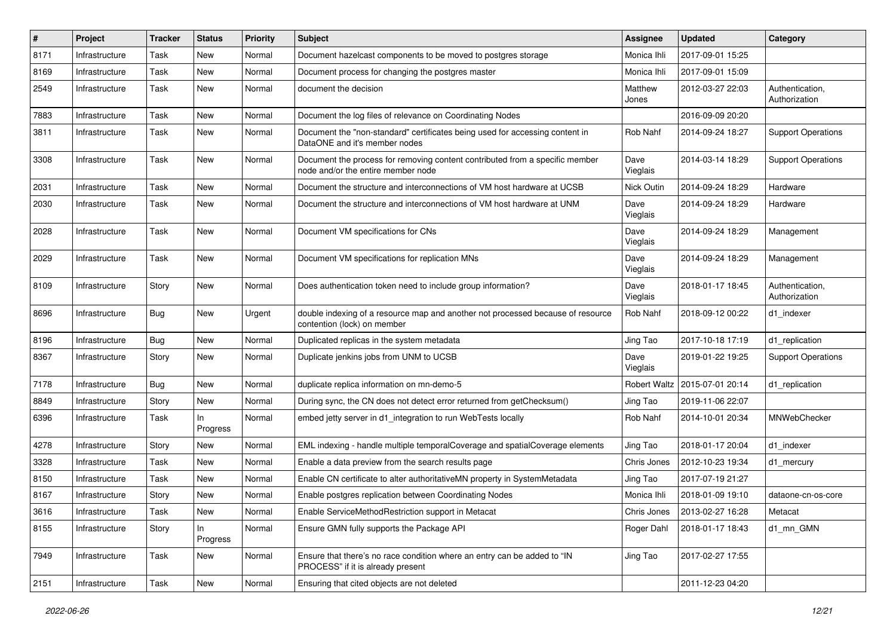| #    | Project        | Tracker | <b>Status</b>  | <b>Priority</b> | <b>Subject</b>                                                                                                     | Assignee            | <b>Updated</b>   | Category                         |
|------|----------------|---------|----------------|-----------------|--------------------------------------------------------------------------------------------------------------------|---------------------|------------------|----------------------------------|
| 8171 | Infrastructure | Task    | New            | Normal          | Document hazelcast components to be moved to postgres storage                                                      | Monica Ihli         | 2017-09-01 15:25 |                                  |
| 8169 | Infrastructure | Task    | New            | Normal          | Document process for changing the postgres master                                                                  | Monica Ihli         | 2017-09-01 15:09 |                                  |
| 2549 | Infrastructure | Task    | New            | Normal          | document the decision                                                                                              | Matthew<br>Jones    | 2012-03-27 22:03 | Authentication,<br>Authorization |
| 7883 | Infrastructure | Task    | New            | Normal          | Document the log files of relevance on Coordinating Nodes                                                          |                     | 2016-09-09 20:20 |                                  |
| 3811 | Infrastructure | Task    | New            | Normal          | Document the "non-standard" certificates being used for accessing content in<br>DataONE and it's member nodes      | Rob Nahf            | 2014-09-24 18:27 | <b>Support Operations</b>        |
| 3308 | Infrastructure | Task    | New            | Normal          | Document the process for removing content contributed from a specific member<br>node and/or the entire member node | Dave<br>Vieglais    | 2014-03-14 18:29 | <b>Support Operations</b>        |
| 2031 | Infrastructure | Task    | <b>New</b>     | Normal          | Document the structure and interconnections of VM host hardware at UCSB                                            | <b>Nick Outin</b>   | 2014-09-24 18:29 | Hardware                         |
| 2030 | Infrastructure | Task    | New            | Normal          | Document the structure and interconnections of VM host hardware at UNM                                             | Dave<br>Vieglais    | 2014-09-24 18:29 | Hardware                         |
| 2028 | Infrastructure | Task    | New            | Normal          | Document VM specifications for CNs                                                                                 | Dave<br>Vieglais    | 2014-09-24 18:29 | Management                       |
| 2029 | Infrastructure | Task    | New            | Normal          | Document VM specifications for replication MNs                                                                     | Dave<br>Vieglais    | 2014-09-24 18:29 | Management                       |
| 8109 | Infrastructure | Story   | New            | Normal          | Does authentication token need to include group information?                                                       | Dave<br>Vieglais    | 2018-01-17 18:45 | Authentication,<br>Authorization |
| 8696 | Infrastructure | Bug     | New            | Urgent          | double indexing of a resource map and another not processed because of resource<br>contention (lock) on member     | Rob Nahf            | 2018-09-12 00:22 | d1 indexer                       |
| 8196 | Infrastructure | Bug     | <b>New</b>     | Normal          | Duplicated replicas in the system metadata                                                                         | Jing Tao            | 2017-10-18 17:19 | d1_replication                   |
| 8367 | Infrastructure | Story   | New            | Normal          | Duplicate jenkins jobs from UNM to UCSB                                                                            | Dave<br>Vieglais    | 2019-01-22 19:25 | <b>Support Operations</b>        |
| 7178 | Infrastructure | Bug     | New            | Normal          | duplicate replica information on mn-demo-5                                                                         | <b>Robert Waltz</b> | 2015-07-01 20:14 | d1_replication                   |
| 8849 | Infrastructure | Story   | New            | Normal          | During sync, the CN does not detect error returned from getChecksum()                                              | Jing Tao            | 2019-11-06 22:07 |                                  |
| 6396 | Infrastructure | Task    | In<br>Progress | Normal          | embed jetty server in d1_integration to run WebTests locally                                                       | Rob Nahf            | 2014-10-01 20:34 | MNWebChecker                     |
| 4278 | Infrastructure | Story   | New            | Normal          | EML indexing - handle multiple temporalCoverage and spatialCoverage elements                                       | Jing Tao            | 2018-01-17 20:04 | d1_indexer                       |
| 3328 | Infrastructure | Task    | New            | Normal          | Enable a data preview from the search results page                                                                 | Chris Jones         | 2012-10-23 19:34 | d1 mercury                       |
| 8150 | Infrastructure | Task    | New            | Normal          | Enable CN certificate to alter authoritativeMN property in SystemMetadata                                          | Jing Tao            | 2017-07-19 21:27 |                                  |
| 8167 | Infrastructure | Story   | New            | Normal          | Enable postgres replication between Coordinating Nodes                                                             | Monica Ihli         | 2018-01-09 19:10 | dataone-cn-os-core               |
| 3616 | Infrastructure | Task    | New            | Normal          | Enable ServiceMethodRestriction support in Metacat                                                                 | Chris Jones         | 2013-02-27 16:28 | Metacat                          |
| 8155 | Infrastructure | Story   | In<br>Progress | Normal          | Ensure GMN fully supports the Package API                                                                          | Roger Dahl          | 2018-01-17 18:43 | d1_mn_GMN                        |
| 7949 | Infrastructure | Task    | New            | Normal          | Ensure that there's no race condition where an entry can be added to "IN<br>PROCESS" if it is already present      | Jing Tao            | 2017-02-27 17:55 |                                  |
| 2151 | Infrastructure | Task    | New            | Normal          | Ensuring that cited objects are not deleted                                                                        |                     | 2011-12-23 04:20 |                                  |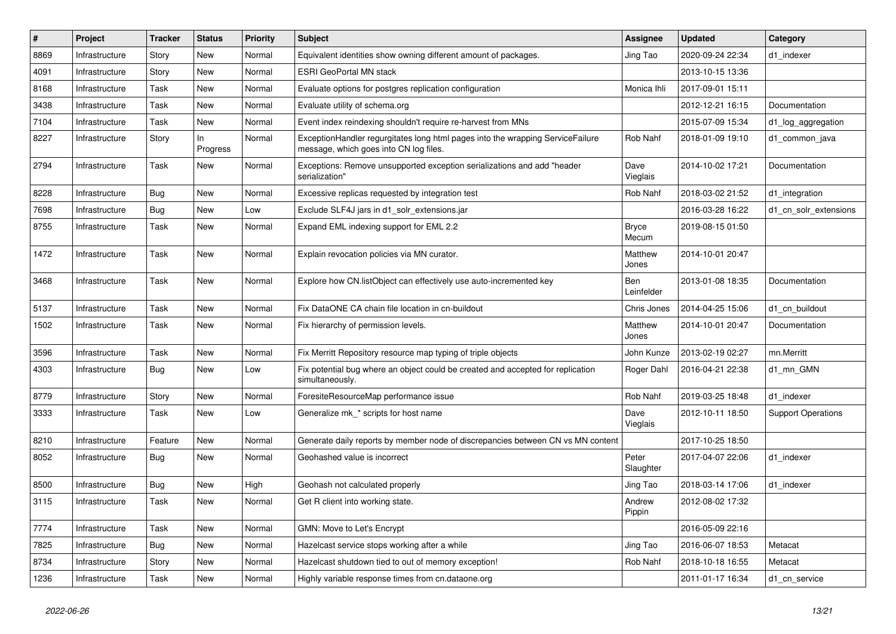| $\sharp$ | Project        | <b>Tracker</b> | <b>Status</b>  | Priority | <b>Subject</b>                                                                                                           | Assignee              | <b>Updated</b>   | Category                  |
|----------|----------------|----------------|----------------|----------|--------------------------------------------------------------------------------------------------------------------------|-----------------------|------------------|---------------------------|
| 8869     | Infrastructure | Story          | New            | Normal   | Equivalent identities show owning different amount of packages.                                                          | Jing Tao              | 2020-09-24 22:34 | d1 indexer                |
| 4091     | Infrastructure | Story          | New            | Normal   | <b>ESRI GeoPortal MN stack</b>                                                                                           |                       | 2013-10-15 13:36 |                           |
| 8168     | Infrastructure | Task           | New            | Normal   | Evaluate options for postgres replication configuration                                                                  | Monica Ihli           | 2017-09-01 15:11 |                           |
| 3438     | Infrastructure | Task           | New            | Normal   | Evaluate utility of schema.org                                                                                           |                       | 2012-12-21 16:15 | Documentation             |
| 7104     | Infrastructure | Task           | New            | Normal   | Event index reindexing shouldn't require re-harvest from MNs                                                             |                       | 2015-07-09 15:34 | d1_log_aggregation        |
| 8227     | Infrastructure | Story          | In<br>Progress | Normal   | ExceptionHandler regurgitates long html pages into the wrapping ServiceFailure<br>message, which goes into CN log files. | Rob Nahf              | 2018-01-09 19:10 | d1 common java            |
| 2794     | Infrastructure | Task           | New            | Normal   | Exceptions: Remove unsupported exception serializations and add "header<br>serialization"                                | Dave<br>Vieglais      | 2014-10-02 17:21 | Documentation             |
| 8228     | Infrastructure | Bug            | New            | Normal   | Excessive replicas requested by integration test                                                                         | Rob Nahf              | 2018-03-02 21:52 | d1 integration            |
| 7698     | Infrastructure | Bug            | New            | Low      | Exclude SLF4J jars in d1 solr extensions.jar                                                                             |                       | 2016-03-28 16:22 | d1_cn_solr_extensions     |
| 8755     | Infrastructure | Task           | New            | Normal   | Expand EML indexing support for EML 2.2                                                                                  | <b>Bryce</b><br>Mecum | 2019-08-15 01:50 |                           |
| 1472     | Infrastructure | Task           | New            | Normal   | Explain revocation policies via MN curator.                                                                              | Matthew<br>Jones      | 2014-10-01 20:47 |                           |
| 3468     | Infrastructure | Task           | New            | Normal   | Explore how CN.listObject can effectively use auto-incremented key                                                       | Ben<br>Leinfelder     | 2013-01-08 18:35 | Documentation             |
| 5137     | Infrastructure | Task           | New            | Normal   | Fix DataONE CA chain file location in cn-buildout                                                                        | Chris Jones           | 2014-04-25 15:06 | d1 cn buildout            |
| 1502     | Infrastructure | Task           | New            | Normal   | Fix hierarchy of permission levels.                                                                                      | Matthew<br>Jones      | 2014-10-01 20:47 | Documentation             |
| 3596     | Infrastructure | Task           | <b>New</b>     | Normal   | Fix Merritt Repository resource map typing of triple objects                                                             | John Kunze            | 2013-02-19 02:27 | mn.Merritt                |
| 4303     | Infrastructure | <b>Bug</b>     | New            | Low      | Fix potential bug where an object could be created and accepted for replication<br>simultaneously.                       | Roger Dahl            | 2016-04-21 22:38 | d1 mn GMN                 |
| 8779     | Infrastructure | Story          | New            | Normal   | ForesiteResourceMap performance issue                                                                                    | Rob Nahf              | 2019-03-25 18:48 | d1_indexer                |
| 3333     | Infrastructure | Task           | New            | Low      | Generalize mk_* scripts for host name                                                                                    | Dave<br>Vieglais      | 2012-10-11 18:50 | <b>Support Operations</b> |
| 8210     | Infrastructure | Feature        | New            | Normal   | Generate daily reports by member node of discrepancies between CN vs MN content                                          |                       | 2017-10-25 18:50 |                           |
| 8052     | Infrastructure | <b>Bug</b>     | New            | Normal   | Geohashed value is incorrect                                                                                             | Peter<br>Slaughter    | 2017-04-07 22:06 | d1_indexer                |
| 8500     | Infrastructure | Bug            | New            | High     | Geohash not calculated properly                                                                                          | Jing Tao              | 2018-03-14 17:06 | d1_indexer                |
| 3115     | Infrastructure | Task           | New            | Normal   | Get R client into working state.                                                                                         | Andrew<br>Pippin      | 2012-08-02 17:32 |                           |
| 7774     | Infrastructure | Task           | New            | Normal   | GMN: Move to Let's Encrypt                                                                                               |                       | 2016-05-09 22:16 |                           |
| 7825     | Infrastructure | Bug            | New            | Normal   | Hazelcast service stops working after a while                                                                            | Jing Tao              | 2016-06-07 18:53 | Metacat                   |
| 8734     | Infrastructure | Story          | New            | Normal   | Hazelcast shutdown tied to out of memory exception!                                                                      | Rob Nahf              | 2018-10-18 16:55 | Metacat                   |
| 1236     | Infrastructure | Task           | New            | Normal   | Highly variable response times from cn.dataone.org                                                                       |                       | 2011-01-17 16:34 | d1_cn_service             |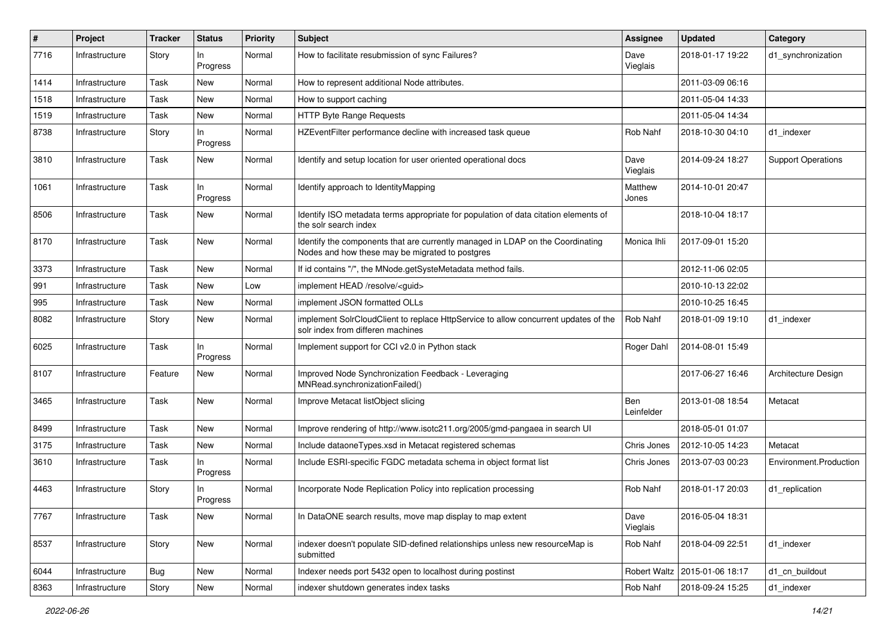| #    | Project        | <b>Tracker</b> | <b>Status</b>   | <b>Priority</b> | <b>Subject</b>                                                                                                                    | Assignee          | <b>Updated</b>                  | Category                  |
|------|----------------|----------------|-----------------|-----------------|-----------------------------------------------------------------------------------------------------------------------------------|-------------------|---------------------------------|---------------------------|
| 7716 | Infrastructure | Story          | In<br>Progress  | Normal          | How to facilitate resubmission of sync Failures?                                                                                  | Dave<br>Vieglais  | 2018-01-17 19:22                | d1 synchronization        |
| 1414 | Infrastructure | Task           | New             | Normal          | How to represent additional Node attributes.                                                                                      |                   | 2011-03-09 06:16                |                           |
| 1518 | Infrastructure | Task           | New             | Normal          | How to support caching                                                                                                            |                   | 2011-05-04 14:33                |                           |
| 1519 | Infrastructure | Task           | New             | Normal          | HTTP Byte Range Requests                                                                                                          |                   | 2011-05-04 14:34                |                           |
| 8738 | Infrastructure | Story          | In<br>Progress  | Normal          | HZEventFilter performance decline with increased task queue                                                                       | Rob Nahf          | 2018-10-30 04:10                | d1_indexer                |
| 3810 | Infrastructure | Task           | New             | Normal          | Identify and setup location for user oriented operational docs                                                                    | Dave<br>Vieglais  | 2014-09-24 18:27                | <b>Support Operations</b> |
| 1061 | Infrastructure | Task           | In<br>Progress  | Normal          | Identify approach to IdentityMapping                                                                                              | Matthew<br>Jones  | 2014-10-01 20:47                |                           |
| 8506 | Infrastructure | Task           | New             | Normal          | Identify ISO metadata terms appropriate for population of data citation elements of<br>the solr search index                      |                   | 2018-10-04 18:17                |                           |
| 8170 | Infrastructure | Task           | <b>New</b>      | Normal          | Identify the components that are currently managed in LDAP on the Coordinating<br>Nodes and how these may be migrated to postgres | Monica Ihli       | 2017-09-01 15:20                |                           |
| 3373 | Infrastructure | Task           | New             | Normal          | If id contains "/", the MNode.getSysteMetadata method fails.                                                                      |                   | 2012-11-06 02:05                |                           |
| 991  | Infrastructure | Task           | New             | Low             | implement HEAD /resolve/ <guid></guid>                                                                                            |                   | 2010-10-13 22:02                |                           |
| 995  | Infrastructure | Task           | New             | Normal          | implement JSON formatted OLLs                                                                                                     |                   | 2010-10-25 16:45                |                           |
| 8082 | Infrastructure | Story          | New             | Normal          | implement SolrCloudClient to replace HttpService to allow concurrent updates of the<br>solr index from differen machines          | Rob Nahf          | 2018-01-09 19:10                | d1 indexer                |
| 6025 | Infrastructure | Task           | In<br>Progress  | Normal          | Implement support for CCI v2.0 in Python stack                                                                                    | Roger Dahl        | 2014-08-01 15:49                |                           |
| 8107 | Infrastructure | Feature        | New             | Normal          | Improved Node Synchronization Feedback - Leveraging<br>MNRead.synchronizationFailed()                                             |                   | 2017-06-27 16:46                | Architecture Design       |
| 3465 | Infrastructure | Task           | New             | Normal          | Improve Metacat listObject slicing                                                                                                | Ben<br>Leinfelder | 2013-01-08 18:54                | Metacat                   |
| 8499 | Infrastructure | Task           | New             | Normal          | Improve rendering of http://www.isotc211.org/2005/gmd-pangaea in search UI                                                        |                   | 2018-05-01 01:07                |                           |
| 3175 | Infrastructure | Task           | New             | Normal          | Include dataoneTypes.xsd in Metacat registered schemas                                                                            | Chris Jones       | 2012-10-05 14:23                | Metacat                   |
| 3610 | Infrastructure | Task           | In.<br>Progress | Normal          | Include ESRI-specific FGDC metadata schema in object format list                                                                  | Chris Jones       | 2013-07-03 00:23                | Environment.Production    |
| 4463 | Infrastructure | Story          | In.<br>Progress | Normal          | Incorporate Node Replication Policy into replication processing                                                                   | Rob Nahf          | 2018-01-17 20:03                | d1 replication            |
| 7767 | Infrastructure | Task           | New             | Normal          | In DataONE search results, move map display to map extent                                                                         | Dave<br>Vieglais  | 2016-05-04 18:31                |                           |
| 8537 | Infrastructure | Story          | New             | Normal          | indexer doesn't populate SID-defined relationships unless new resourceMap is<br>submitted                                         | Rob Nahf          | 2018-04-09 22:51                | d1_indexer                |
| 6044 | Infrastructure | <b>Bug</b>     | New             | Normal          | Indexer needs port 5432 open to localhost during postinst                                                                         |                   | Robert Waltz   2015-01-06 18:17 | d1_cn_buildout            |
| 8363 | Infrastructure | Story          | New             | Normal          | indexer shutdown generates index tasks                                                                                            | Rob Nahf          | 2018-09-24 15:25                | d1 indexer                |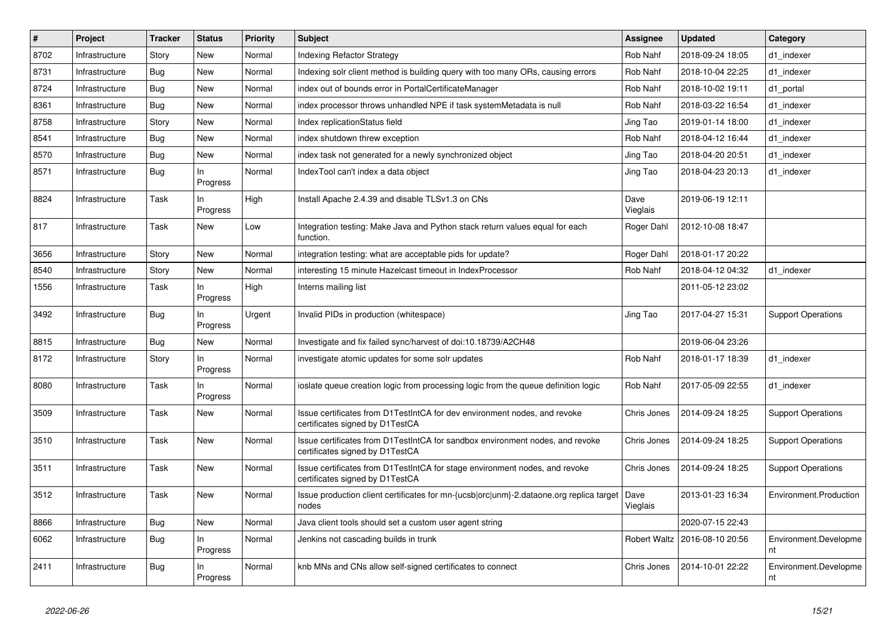| $\vert$ # | Project        | <b>Tracker</b> | <b>Status</b>   | <b>Priority</b> | <b>Subject</b>                                                                                                   | Assignee         | <b>Updated</b>   | Category                    |
|-----------|----------------|----------------|-----------------|-----------------|------------------------------------------------------------------------------------------------------------------|------------------|------------------|-----------------------------|
| 8702      | Infrastructure | Story          | <b>New</b>      | Normal          | Indexing Refactor Strategy                                                                                       | Rob Nahf         | 2018-09-24 18:05 | d1_indexer                  |
| 8731      | Infrastructure | Bug            | <b>New</b>      | Normal          | Indexing solr client method is building query with too many ORs, causing errors                                  | Rob Nahf         | 2018-10-04 22:25 | d1 indexer                  |
| 8724      | Infrastructure | Bug            | <b>New</b>      | Normal          | index out of bounds error in PortalCertificateManager                                                            | Rob Nahf         | 2018-10-02 19:11 | d1 portal                   |
| 8361      | Infrastructure | Bug            | New             | Normal          | index processor throws unhandled NPE if task systemMetadata is null                                              | Rob Nahf         | 2018-03-22 16:54 | d1 indexer                  |
| 8758      | Infrastructure | Story          | <b>New</b>      | Normal          | Index replicationStatus field                                                                                    | Jing Tao         | 2019-01-14 18:00 | d1_indexer                  |
| 8541      | Infrastructure | <b>Bug</b>     | <b>New</b>      | Normal          | index shutdown threw exception                                                                                   | Rob Nahf         | 2018-04-12 16:44 | d1_indexer                  |
| 8570      | Infrastructure | Bug            | <b>New</b>      | Normal          | index task not generated for a newly synchronized object                                                         | Jing Tao         | 2018-04-20 20:51 | d1 indexer                  |
| 8571      | Infrastructure | <b>Bug</b>     | In<br>Progress  | Normal          | IndexTool can't index a data object                                                                              | Jing Tao         | 2018-04-23 20:13 | d1_indexer                  |
| 8824      | Infrastructure | Task           | In.<br>Progress | High            | Install Apache 2.4.39 and disable TLSv1.3 on CNs                                                                 | Dave<br>Vieglais | 2019-06-19 12:11 |                             |
| 817       | Infrastructure | Task           | <b>New</b>      | Low             | Integration testing: Make Java and Python stack return values equal for each<br>function.                        | Roger Dahl       | 2012-10-08 18:47 |                             |
| 3656      | Infrastructure | Story          | <b>New</b>      | Normal          | integration testing: what are acceptable pids for update?                                                        | Roger Dahl       | 2018-01-17 20:22 |                             |
| 8540      | Infrastructure | Story          | <b>New</b>      | Normal          | interesting 15 minute Hazelcast timeout in IndexProcessor                                                        | Rob Nahf         | 2018-04-12 04:32 | d1 indexer                  |
| 1556      | Infrastructure | Task           | In<br>Progress  | High            | Interns mailing list                                                                                             |                  | 2011-05-12 23:02 |                             |
| 3492      | Infrastructure | Bug            | In<br>Progress  | Urgent          | Invalid PIDs in production (whitespace)                                                                          | Jing Tao         | 2017-04-27 15:31 | <b>Support Operations</b>   |
| 8815      | Infrastructure | Bug            | <b>New</b>      | Normal          | Investigate and fix failed sync/harvest of doi:10.18739/A2CH48                                                   |                  | 2019-06-04 23:26 |                             |
| 8172      | Infrastructure | Story          | In<br>Progress  | Normal          | investigate atomic updates for some solr updates                                                                 | Rob Nahf         | 2018-01-17 18:39 | d1 indexer                  |
| 8080      | Infrastructure | Task           | In<br>Progress  | Normal          | ioslate queue creation logic from processing logic from the queue definition logic                               | Rob Nahf         | 2017-05-09 22:55 | d1 indexer                  |
| 3509      | Infrastructure | Task           | <b>New</b>      | Normal          | Issue certificates from D1TestIntCA for dev environment nodes, and revoke<br>certificates signed by D1TestCA     | Chris Jones      | 2014-09-24 18:25 | <b>Support Operations</b>   |
| 3510      | Infrastructure | Task           | New             | Normal          | Issue certificates from D1TestIntCA for sandbox environment nodes, and revoke<br>certificates signed by D1TestCA | Chris Jones      | 2014-09-24 18:25 | <b>Support Operations</b>   |
| 3511      | Infrastructure | Task           | New             | Normal          | Issue certificates from D1TestIntCA for stage environment nodes, and revoke<br>certificates signed by D1TestCA   | Chris Jones      | 2014-09-24 18:25 | <b>Support Operations</b>   |
| 3512      | Infrastructure | Task           | <b>New</b>      | Normal          | Issue production client certificates for mn-{ucsb orc unm}-2.dataone.org replica target<br>nodes                 | Dave<br>Vieglais | 2013-01-23 16:34 | Environment.Production      |
| 8866      | Infrastructure | <b>Bug</b>     | <b>New</b>      | Normal          | Java client tools should set a custom user agent string                                                          |                  | 2020-07-15 22:43 |                             |
| 6062      | Infrastructure | <b>Bug</b>     | In<br>Progress  | Normal          | Jenkins not cascading builds in trunk                                                                            | Robert Waltz     | 2016-08-10 20:56 | Environment.Developme<br>nt |
| 2411      | Infrastructure | <b>Bug</b>     | In<br>Progress  | Normal          | knb MNs and CNs allow self-signed certificates to connect                                                        | Chris Jones      | 2014-10-01 22:22 | Environment.Developme<br>nt |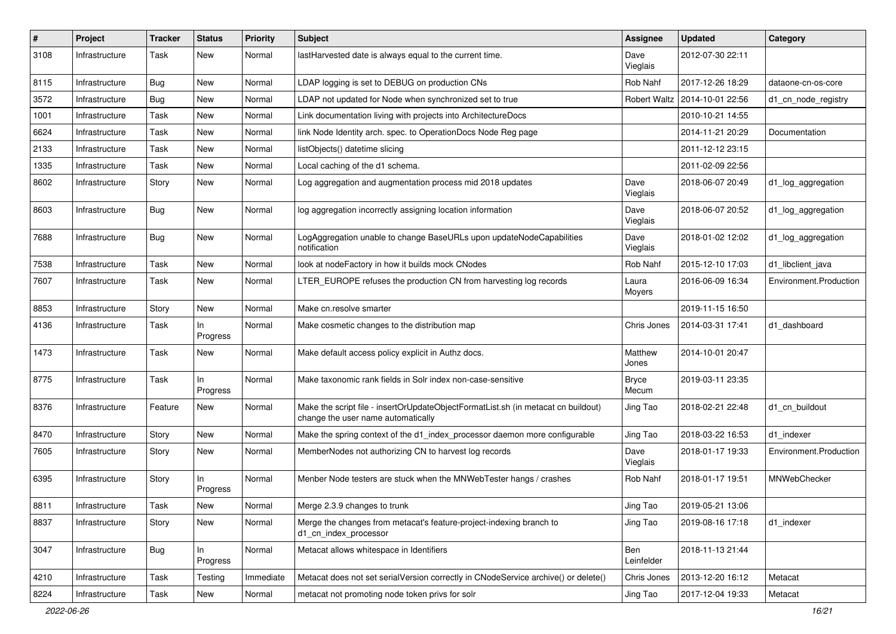| #    | Project        | <b>Tracker</b> | <b>Status</b>   | <b>Priority</b> | <b>Subject</b>                                                                                                          | Assignee              | <b>Updated</b>                  | Category               |
|------|----------------|----------------|-----------------|-----------------|-------------------------------------------------------------------------------------------------------------------------|-----------------------|---------------------------------|------------------------|
| 3108 | Infrastructure | Task           | New             | Normal          | lastHarvested date is always equal to the current time.                                                                 | Dave<br>Vieglais      | 2012-07-30 22:11                |                        |
| 8115 | Infrastructure | Bug            | New             | Normal          | LDAP logging is set to DEBUG on production CNs                                                                          | Rob Nahf              | 2017-12-26 18:29                | dataone-cn-os-core     |
| 3572 | Infrastructure | Bug            | New             | Normal          | LDAP not updated for Node when synchronized set to true                                                                 |                       | Robert Waltz   2014-10-01 22:56 | d1_cn_node_registry    |
| 1001 | Infrastructure | Task           | <b>New</b>      | Normal          | Link documentation living with projects into ArchitectureDocs                                                           |                       | 2010-10-21 14:55                |                        |
| 6624 | Infrastructure | Task           | New             | Normal          | link Node Identity arch. spec. to OperationDocs Node Reg page                                                           |                       | 2014-11-21 20:29                | Documentation          |
| 2133 | Infrastructure | Task           | New             | Normal          | listObjects() datetime slicing                                                                                          |                       | 2011-12-12 23:15                |                        |
| 1335 | Infrastructure | Task           | New             | Normal          | Local caching of the d1 schema.                                                                                         |                       | 2011-02-09 22:56                |                        |
| 8602 | Infrastructure | Story          | New             | Normal          | Log aggregation and augmentation process mid 2018 updates                                                               | Dave<br>Vieglais      | 2018-06-07 20:49                | d1_log_aggregation     |
| 8603 | Infrastructure | Bug            | New             | Normal          | log aggregation incorrectly assigning location information                                                              | Dave<br>Vieglais      | 2018-06-07 20:52                | d1_log_aggregation     |
| 7688 | Infrastructure | Bug            | New             | Normal          | LogAggregation unable to change BaseURLs upon updateNodeCapabilities<br>notification                                    | Dave<br>Vieglais      | 2018-01-02 12:02                | d1_log_aggregation     |
| 7538 | Infrastructure | Task           | New             | Normal          | look at nodeFactory in how it builds mock CNodes                                                                        | <b>Rob Nahf</b>       | 2015-12-10 17:03                | d1_libclient_java      |
| 7607 | Infrastructure | Task           | New             | Normal          | LTER_EUROPE refuses the production CN from harvesting log records                                                       | Laura<br>Moyers       | 2016-06-09 16:34                | Environment.Production |
| 8853 | Infrastructure | Story          | New             | Normal          | Make cn.resolve smarter                                                                                                 |                       | 2019-11-15 16:50                |                        |
| 4136 | Infrastructure | Task           | In<br>Progress  | Normal          | Make cosmetic changes to the distribution map                                                                           | Chris Jones           | 2014-03-31 17:41                | d1 dashboard           |
| 1473 | Infrastructure | Task           | New             | Normal          | Make default access policy explicit in Authz docs.                                                                      | Matthew<br>Jones      | 2014-10-01 20:47                |                        |
| 8775 | Infrastructure | Task           | In.<br>Progress | Normal          | Make taxonomic rank fields in Solr index non-case-sensitive                                                             | <b>Bryce</b><br>Mecum | 2019-03-11 23:35                |                        |
| 8376 | Infrastructure | Feature        | New             | Normal          | Make the script file - insertOrUpdateObjectFormatList.sh (in metacat cn buildout)<br>change the user name automatically | Jing Tao              | 2018-02-21 22:48                | d1_cn_buildout         |
| 8470 | Infrastructure | Story          | New             | Normal          | Make the spring context of the d1_index_processor daemon more configurable                                              | Jing Tao              | 2018-03-22 16:53                | d1_indexer             |
| 7605 | Infrastructure | Story          | New             | Normal          | MemberNodes not authorizing CN to harvest log records                                                                   | Dave<br>Vieglais      | 2018-01-17 19:33                | Environment.Production |
| 6395 | Infrastructure | Story          | In<br>Progress  | Normal          | Menber Node testers are stuck when the MNWebTester hangs / crashes                                                      | Rob Nahf              | 2018-01-17 19:51                | MNWebChecker           |
| 8811 | Infrastructure | Task           | New             | Normal          | Merge 2.3.9 changes to trunk                                                                                            | Jing Tao              | 2019-05-21 13:06                |                        |
| 8837 | Infrastructure | Story          | New             | Normal          | Merge the changes from metacat's feature-project-indexing branch to<br>d1_cn_index_processor                            | Jing Tao              | 2019-08-16 17:18                | d1 indexer             |
| 3047 | Infrastructure | <b>Bug</b>     | In<br>Progress  | Normal          | Metacat allows whitespace in Identifiers                                                                                | Ben<br>Leinfelder     | 2018-11-13 21:44                |                        |
| 4210 | Infrastructure | Task           | Testing         | Immediate       | Metacat does not set serialVersion correctly in CNodeService archive() or delete()                                      | Chris Jones           | 2013-12-20 16:12                | Metacat                |
| 8224 | Infrastructure | Task           | New             | Normal          | metacat not promoting node token privs for solr                                                                         | Jing Tao              | 2017-12-04 19:33                | Metacat                |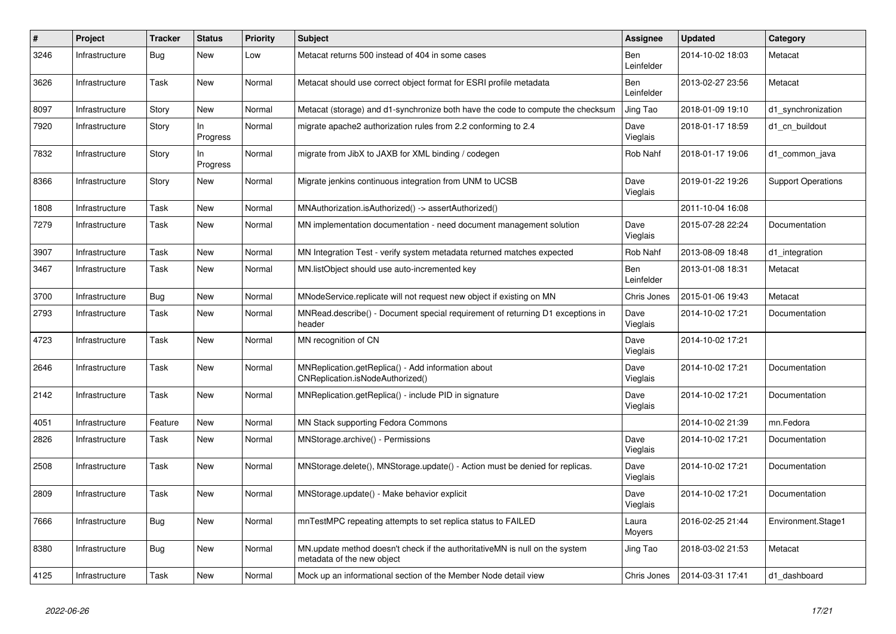| #    | Project        | <b>Tracker</b> | <b>Status</b>   | <b>Priority</b> | <b>Subject</b>                                                                                            | <b>Assignee</b>   | <b>Updated</b>   | Category                  |
|------|----------------|----------------|-----------------|-----------------|-----------------------------------------------------------------------------------------------------------|-------------------|------------------|---------------------------|
| 3246 | Infrastructure | Bug            | New             | Low             | Metacat returns 500 instead of 404 in some cases                                                          | Ben<br>Leinfelder | 2014-10-02 18:03 | Metacat                   |
| 3626 | Infrastructure | Task           | New             | Normal          | Metacat should use correct object format for ESRI profile metadata                                        | Ben<br>Leinfelder | 2013-02-27 23:56 | Metacat                   |
| 8097 | Infrastructure | Story          | New             | Normal          | Metacat (storage) and d1-synchronize both have the code to compute the checksum                           | Jing Tao          | 2018-01-09 19:10 | d1 synchronization        |
| 7920 | Infrastructure | Story          | In.<br>Progress | Normal          | migrate apache2 authorization rules from 2.2 conforming to 2.4                                            | Dave<br>Vieglais  | 2018-01-17 18:59 | d1 cn buildout            |
| 7832 | Infrastructure | Story          | ln<br>Progress  | Normal          | migrate from JibX to JAXB for XML binding / codegen                                                       | Rob Nahf          | 2018-01-17 19:06 | d1 common java            |
| 8366 | Infrastructure | Story          | <b>New</b>      | Normal          | Migrate jenkins continuous integration from UNM to UCSB                                                   | Dave<br>Vieglais  | 2019-01-22 19:26 | <b>Support Operations</b> |
| 1808 | Infrastructure | Task           | New             | Normal          | MNAuthorization.isAuthorized() -> assertAuthorized()                                                      |                   | 2011-10-04 16:08 |                           |
| 7279 | Infrastructure | Task           | New             | Normal          | MN implementation documentation - need document management solution                                       | Dave<br>Vieglais  | 2015-07-28 22:24 | Documentation             |
| 3907 | Infrastructure | Task           | New             | Normal          | MN Integration Test - verify system metadata returned matches expected                                    | Rob Nahf          | 2013-08-09 18:48 | d1_integration            |
| 3467 | Infrastructure | Task           | <b>New</b>      | Normal          | MN.listObject should use auto-incremented key                                                             | Ben<br>Leinfelder | 2013-01-08 18:31 | Metacat                   |
| 3700 | Infrastructure | Bug            | New             | Normal          | MNodeService.replicate will not request new object if existing on MN                                      | Chris Jones       | 2015-01-06 19:43 | Metacat                   |
| 2793 | Infrastructure | Task           | New             | Normal          | MNRead.describe() - Document special requirement of returning D1 exceptions in<br>header                  | Dave<br>Vieglais  | 2014-10-02 17:21 | Documentation             |
| 4723 | Infrastructure | Task           | New             | Normal          | MN recognition of CN                                                                                      | Dave<br>Vieglais  | 2014-10-02 17:21 |                           |
| 2646 | Infrastructure | Task           | New             | Normal          | MNReplication.getReplica() - Add information about<br>CNReplication.isNodeAuthorized()                    | Dave<br>Vieglais  | 2014-10-02 17:21 | Documentation             |
| 2142 | Infrastructure | Task           | <b>New</b>      | Normal          | MNReplication.getReplica() - include PID in signature                                                     | Dave<br>Vieglais  | 2014-10-02 17:21 | Documentation             |
| 4051 | Infrastructure | Feature        | New             | Normal          | MN Stack supporting Fedora Commons                                                                        |                   | 2014-10-02 21:39 | mn.Fedora                 |
| 2826 | Infrastructure | Task           | New             | Normal          | MNStorage.archive() - Permissions                                                                         | Dave<br>Vieglais  | 2014-10-02 17:21 | Documentation             |
| 2508 | Infrastructure | Task           | New             | Normal          | MNStorage.delete(), MNStorage.update() - Action must be denied for replicas.                              | Dave<br>Vieglais  | 2014-10-02 17:21 | Documentation             |
| 2809 | Infrastructure | Task           | New             | Normal          | MNStorage.update() - Make behavior explicit                                                               | Dave<br>Vieglais  | 2014-10-02 17:21 | Documentation             |
| 7666 | Infrastructure | Bug            | New             | Normal          | mnTestMPC repeating attempts to set replica status to FAILED                                              | Laura<br>Moyers   | 2016-02-25 21:44 | Environment.Stage1        |
| 8380 | Infrastructure | Bug            | New             | Normal          | MN.update method doesn't check if the authoritativeMN is null on the system<br>metadata of the new object | Jing Tao          | 2018-03-02 21:53 | Metacat                   |
| 4125 | Infrastructure | Task           | New             | Normal          | Mock up an informational section of the Member Node detail view                                           | Chris Jones       | 2014-03-31 17:41 | d1 dashboard              |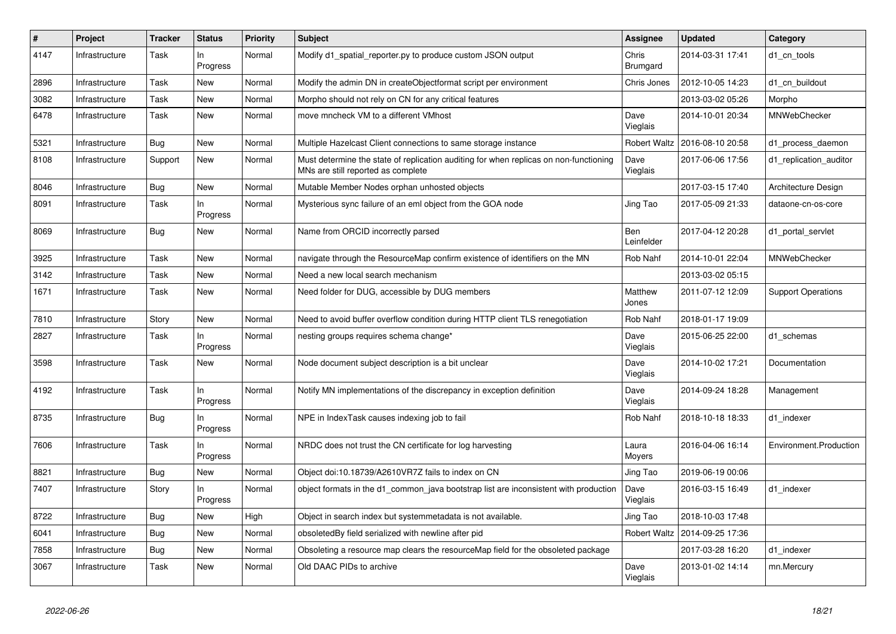| $\#$ | Project        | <b>Tracker</b> | <b>Status</b>     | <b>Priority</b> | <b>Subject</b>                                                                                                              | Assignee                 | <b>Updated</b>   | Category                  |
|------|----------------|----------------|-------------------|-----------------|-----------------------------------------------------------------------------------------------------------------------------|--------------------------|------------------|---------------------------|
| 4147 | Infrastructure | Task           | In<br>Progress    | Normal          | Modify d1 spatial reporter.py to produce custom JSON output                                                                 | Chris<br>Brumgard        | 2014-03-31 17:41 | d1 cn tools               |
| 2896 | Infrastructure | Task           | New               | Normal          | Modify the admin DN in createObjectformat script per environment                                                            | Chris Jones              | 2012-10-05 14:23 | d1_cn_buildout            |
| 3082 | Infrastructure | Task           | <b>New</b>        | Normal          | Morpho should not rely on CN for any critical features                                                                      |                          | 2013-03-02 05:26 | Morpho                    |
| 6478 | Infrastructure | Task           | <b>New</b>        | Normal          | move mncheck VM to a different VMhost                                                                                       | Dave<br>Vieglais         | 2014-10-01 20:34 | MNWebChecker              |
| 5321 | Infrastructure | Bug            | New               | Normal          | Multiple Hazelcast Client connections to same storage instance                                                              | <b>Robert Waltz</b>      | 2016-08-10 20:58 | d1_process_daemon         |
| 8108 | Infrastructure | Support        | New               | Normal          | Must determine the state of replication auditing for when replicas on non-functioning<br>MNs are still reported as complete | Dave<br>Vieglais         | 2017-06-06 17:56 | d1 replication auditor    |
| 8046 | Infrastructure | <b>Bug</b>     | <b>New</b>        | Normal          | Mutable Member Nodes orphan unhosted objects                                                                                |                          | 2017-03-15 17:40 | Architecture Design       |
| 8091 | Infrastructure | Task           | ln<br>Progress    | Normal          | Mysterious sync failure of an eml object from the GOA node                                                                  | Jing Tao                 | 2017-05-09 21:33 | dataone-cn-os-core        |
| 8069 | Infrastructure | <b>Bug</b>     | New               | Normal          | Name from ORCID incorrectly parsed                                                                                          | <b>Ben</b><br>Leinfelder | 2017-04-12 20:28 | d1 portal servlet         |
| 3925 | Infrastructure | Task           | New               | Normal          | navigate through the ResourceMap confirm existence of identifiers on the MN                                                 | Rob Nahf                 | 2014-10-01 22:04 | MNWebChecker              |
| 3142 | Infrastructure | Task           | New               | Normal          | Need a new local search mechanism                                                                                           |                          | 2013-03-02 05:15 |                           |
| 1671 | Infrastructure | Task           | New               | Normal          | Need folder for DUG, accessible by DUG members                                                                              | Matthew<br>Jones         | 2011-07-12 12:09 | <b>Support Operations</b> |
| 7810 | Infrastructure | Story          | <b>New</b>        | Normal          | Need to avoid buffer overflow condition during HTTP client TLS renegotiation                                                | Rob Nahf                 | 2018-01-17 19:09 |                           |
| 2827 | Infrastructure | Task           | In<br>Progress    | Normal          | nesting groups requires schema change*                                                                                      | Dave<br>Vieglais         | 2015-06-25 22:00 | d1 schemas                |
| 3598 | Infrastructure | Task           | New               | Normal          | Node document subject description is a bit unclear                                                                          | Dave<br>Vieglais         | 2014-10-02 17:21 | Documentation             |
| 4192 | Infrastructure | Task           | $\ln$<br>Progress | Normal          | Notify MN implementations of the discrepancy in exception definition                                                        | Dave<br>Vieglais         | 2014-09-24 18:28 | Management                |
| 8735 | Infrastructure | Bug            | In<br>Progress    | Normal          | NPE in IndexTask causes indexing job to fail                                                                                | Rob Nahf                 | 2018-10-18 18:33 | d1 indexer                |
| 7606 | Infrastructure | Task           | In.<br>Progress   | Normal          | NRDC does not trust the CN certificate for log harvesting                                                                   | Laura<br>Moyers          | 2016-04-06 16:14 | Environment.Production    |
| 8821 | Infrastructure | Bug            | <b>New</b>        | Normal          | Object doi:10.18739/A2610VR7Z fails to index on CN                                                                          | Jing Tao                 | 2019-06-19 00:06 |                           |
| 7407 | Infrastructure | Story          | In<br>Progress    | Normal          | object formats in the d1_common_java bootstrap list are inconsistent with production                                        | Dave<br>Vieglais         | 2016-03-15 16:49 | d1 indexer                |
| 8722 | Infrastructure | Bug            | New               | High            | Object in search index but systemmetadata is not available.                                                                 | Jing Tao                 | 2018-10-03 17:48 |                           |
| 6041 | Infrastructure | Bug            | <b>New</b>        | Normal          | obsoletedBy field serialized with newline after pid                                                                         | <b>Robert Waltz</b>      | 2014-09-25 17:36 |                           |
| 7858 | Infrastructure | <b>Bug</b>     | New               | Normal          | Obsoleting a resource map clears the resourceMap field for the obsoleted package                                            |                          | 2017-03-28 16:20 | d1 indexer                |
| 3067 | Infrastructure | Task           | <b>New</b>        | Normal          | Old DAAC PIDs to archive                                                                                                    | Dave<br>Vieglais         | 2013-01-02 14:14 | mn.Mercury                |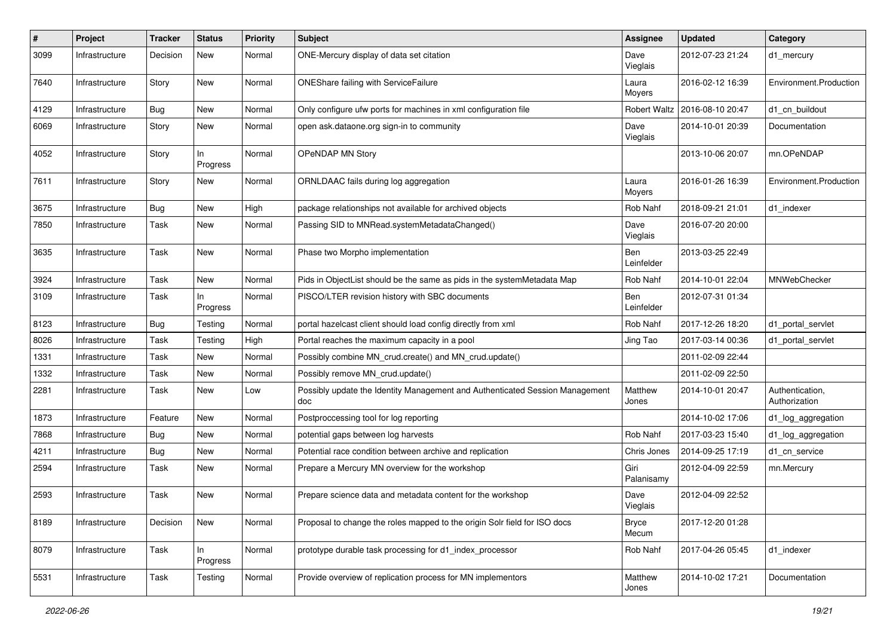| #    | Project        | <b>Tracker</b> | <b>Status</b>   | <b>Priority</b> | <b>Subject</b>                                                                      | <b>Assignee</b>       | <b>Updated</b>   | Category                         |
|------|----------------|----------------|-----------------|-----------------|-------------------------------------------------------------------------------------|-----------------------|------------------|----------------------------------|
| 3099 | Infrastructure | Decision       | New             | Normal          | ONE-Mercury display of data set citation                                            | Dave<br>Vieglais      | 2012-07-23 21:24 | d1_mercury                       |
| 7640 | Infrastructure | Story          | New             | Normal          | ONEShare failing with ServiceFailure                                                | Laura<br>Moyers       | 2016-02-12 16:39 | Environment.Production           |
| 4129 | Infrastructure | Bug            | <b>New</b>      | Normal          | Only configure ufw ports for machines in xml configuration file                     | <b>Robert Waltz</b>   | 2016-08-10 20:47 | d1_cn_buildout                   |
| 6069 | Infrastructure | Story          | New             | Normal          | open ask.dataone.org sign-in to community                                           | Dave<br>Vieglais      | 2014-10-01 20:39 | Documentation                    |
| 4052 | Infrastructure | Story          | In.<br>Progress | Normal          | OPeNDAP MN Story                                                                    |                       | 2013-10-06 20:07 | mn.OPeNDAP                       |
| 7611 | Infrastructure | Story          | New             | Normal          | ORNLDAAC fails during log aggregation                                               | Laura<br>Moyers       | 2016-01-26 16:39 | Environment.Production           |
| 3675 | Infrastructure | <b>Bug</b>     | <b>New</b>      | High            | package relationships not available for archived objects                            | Rob Nahf              | 2018-09-21 21:01 | d1 indexer                       |
| 7850 | Infrastructure | Task           | New             | Normal          | Passing SID to MNRead.systemMetadataChanged()                                       | Dave<br>Vieglais      | 2016-07-20 20:00 |                                  |
| 3635 | Infrastructure | Task           | New             | Normal          | Phase two Morpho implementation                                                     | Ben<br>Leinfelder     | 2013-03-25 22:49 |                                  |
| 3924 | Infrastructure | Task           | New             | Normal          | Pids in ObjectList should be the same as pids in the systemMetadata Map             | Rob Nahf              | 2014-10-01 22:04 | MNWebChecker                     |
| 3109 | Infrastructure | Task           | In<br>Progress  | Normal          | PISCO/LTER revision history with SBC documents                                      | Ben<br>Leinfelder     | 2012-07-31 01:34 |                                  |
| 8123 | Infrastructure | Bug            | Testing         | Normal          | portal hazelcast client should load config directly from xml                        | Rob Nahf              | 2017-12-26 18:20 | d1 portal servlet                |
| 8026 | Infrastructure | Task           | Testing         | High            | Portal reaches the maximum capacity in a pool                                       | Jing Tao              | 2017-03-14 00:36 | d1 portal servlet                |
| 1331 | Infrastructure | Task           | New             | Normal          | Possibly combine MN_crud.create() and MN_crud.update()                              |                       | 2011-02-09 22:44 |                                  |
| 1332 | Infrastructure | Task           | New             | Normal          | Possibly remove MN_crud.update()                                                    |                       | 2011-02-09 22:50 |                                  |
| 2281 | Infrastructure | Task           | New             | Low             | Possibly update the Identity Management and Authenticated Session Management<br>doc | Matthew<br>Jones      | 2014-10-01 20:47 | Authentication,<br>Authorization |
| 1873 | Infrastructure | Feature        | New             | Normal          | Postproccessing tool for log reporting                                              |                       | 2014-10-02 17:06 | d1_log_aggregation               |
| 7868 | Infrastructure | Bug            | New             | Normal          | potential gaps between log harvests                                                 | Rob Nahf              | 2017-03-23 15:40 | d1_log_aggregation               |
| 4211 | Infrastructure | <b>Bug</b>     | New             | Normal          | Potential race condition between archive and replication                            | Chris Jones           | 2014-09-25 17:19 | d1_cn_service                    |
| 2594 | Infrastructure | Task           | New             | Normal          | Prepare a Mercury MN overview for the workshop                                      | Giri<br>Palanisamy    | 2012-04-09 22:59 | mn.Mercury                       |
| 2593 | Infrastructure | Task           | New             | Normal          | Prepare science data and metadata content for the workshop                          | Dave<br>Vieglais      | 2012-04-09 22:52 |                                  |
| 8189 | Infrastructure | Decision       | New             | Normal          | Proposal to change the roles mapped to the origin Solr field for ISO docs           | <b>Bryce</b><br>Mecum | 2017-12-20 01:28 |                                  |
| 8079 | Infrastructure | Task           | In<br>Progress  | Normal          | prototype durable task processing for d1_index_processor                            | Rob Nahf              | 2017-04-26 05:45 | d1 indexer                       |
| 5531 | Infrastructure | Task           | Testing         | Normal          | Provide overview of replication process for MN implementors                         | Matthew<br>Jones      | 2014-10-02 17:21 | Documentation                    |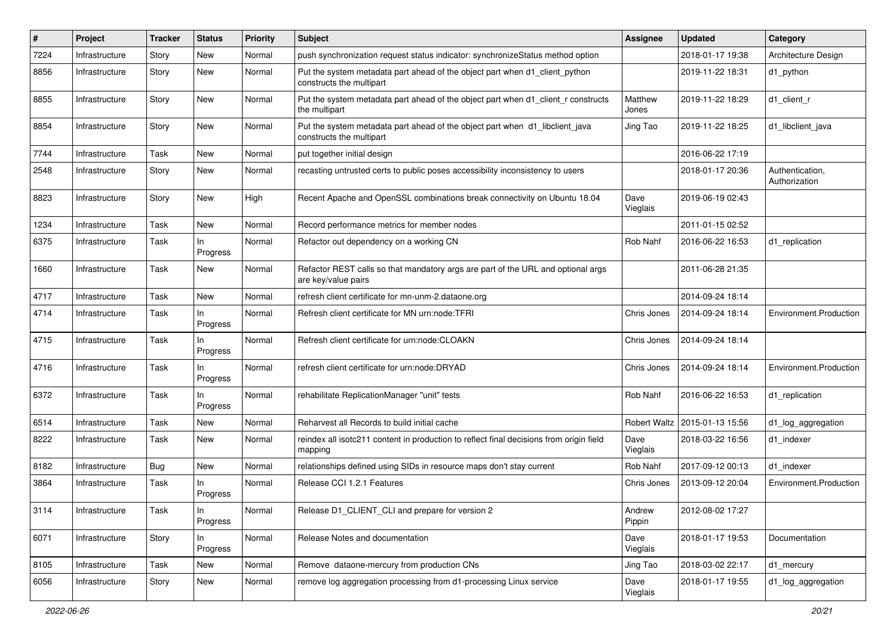| ∦    | Project        | <b>Tracker</b> | <b>Status</b>   | <b>Priority</b> | <b>Subject</b>                                                                                           | <b>Assignee</b>  | <b>Updated</b>                  | Category                         |
|------|----------------|----------------|-----------------|-----------------|----------------------------------------------------------------------------------------------------------|------------------|---------------------------------|----------------------------------|
| 7224 | Infrastructure | Story          | New             | Normal          | push synchronization request status indicator: synchronizeStatus method option                           |                  | 2018-01-17 19:38                | Architecture Design              |
| 8856 | Infrastructure | Story          | New             | Normal          | Put the system metadata part ahead of the object part when d1_client_python<br>constructs the multipart  |                  | 2019-11-22 18:31                | d1_python                        |
| 8855 | Infrastructure | Story          | New             | Normal          | Put the system metadata part ahead of the object part when d1_client_r constructs<br>the multipart       | Matthew<br>Jones | 2019-11-22 18:29                | d1_client_r                      |
| 8854 | Infrastructure | Story          | New             | Normal          | Put the system metadata part ahead of the object part when d1_libclient_java<br>constructs the multipart | Jing Tao         | 2019-11-22 18:25                | d1_libclient_java                |
| 7744 | Infrastructure | Task           | New             | Normal          | put together initial design                                                                              |                  | 2016-06-22 17:19                |                                  |
| 2548 | Infrastructure | Story          | New             | Normal          | recasting untrusted certs to public poses accessibility inconsistency to users                           |                  | 2018-01-17 20:36                | Authentication,<br>Authorization |
| 8823 | Infrastructure | Story          | <b>New</b>      | High            | Recent Apache and OpenSSL combinations break connectivity on Ubuntu 18.04                                | Dave<br>Vieglais | 2019-06-19 02:43                |                                  |
| 1234 | Infrastructure | Task           | <b>New</b>      | Normal          | Record performance metrics for member nodes                                                              |                  | 2011-01-15 02:52                |                                  |
| 6375 | Infrastructure | Task           | In<br>Progress  | Normal          | Refactor out dependency on a working CN                                                                  | Rob Nahf         | 2016-06-22 16:53                | d1 replication                   |
| 1660 | Infrastructure | Task           | New             | Normal          | Refactor REST calls so that mandatory args are part of the URL and optional args<br>are key/value pairs  |                  | 2011-06-28 21:35                |                                  |
| 4717 | Infrastructure | Task           | New             | Normal          | refresh client certificate for mn-unm-2.dataone.org                                                      |                  | 2014-09-24 18:14                |                                  |
| 4714 | Infrastructure | Task           | ln.<br>Progress | Normal          | Refresh client certificate for MN urn:node:TFRI                                                          | Chris Jones      | 2014-09-24 18:14                | Environment.Production           |
| 4715 | Infrastructure | Task           | ln.<br>Progress | Normal          | Refresh client certificate for urn:node:CLOAKN                                                           | Chris Jones      | 2014-09-24 18:14                |                                  |
| 4716 | Infrastructure | Task           | In<br>Progress  | Normal          | refresh client certificate for urn:node:DRYAD                                                            | Chris Jones      | 2014-09-24 18:14                | Environment.Production           |
| 6372 | Infrastructure | Task           | In<br>Progress  | Normal          | rehabilitate ReplicationManager "unit" tests                                                             | Rob Nahf         | 2016-06-22 16:53                | d1 replication                   |
| 6514 | Infrastructure | Task           | New             | Normal          | Reharvest all Records to build initial cache                                                             |                  | Robert Waltz   2015-01-13 15:56 | d1_log_aggregation               |
| 8222 | Infrastructure | Task           | New             | Normal          | reindex all isotc211 content in production to reflect final decisions from origin field<br>mapping       | Dave<br>Vieglais | 2018-03-22 16:56                | d1 indexer                       |
| 8182 | Infrastructure | Bug            | <b>New</b>      | Normal          | relationships defined using SIDs in resource maps don't stay current                                     | Rob Nahf         | 2017-09-12 00:13                | d1 indexer                       |
| 3864 | Infrastructure | Task           | In<br>Progress  | Normal          | Release CCI 1.2.1 Features                                                                               | Chris Jones      | 2013-09-12 20:04                | Environment.Production           |
| 3114 | Infrastructure | Task           | In<br>Progress  | Normal          | Release D1_CLIENT_CLI and prepare for version 2                                                          | Andrew<br>Pippin | 2012-08-02 17:27                |                                  |
| 6071 | Infrastructure | Story          | ln.<br>Progress | Normal          | Release Notes and documentation                                                                          | Dave<br>Vieglais | 2018-01-17 19:53                | Documentation                    |
| 8105 | Infrastructure | Task           | New             | Normal          | Remove dataone-mercury from production CNs                                                               | Jing Tao         | 2018-03-02 22:17                | d1_mercury                       |
| 6056 | Infrastructure | Story          | New             | Normal          | remove log aggregation processing from d1-processing Linux service                                       | Dave<br>Vieglais | 2018-01-17 19:55                | d1_log_aggregation               |